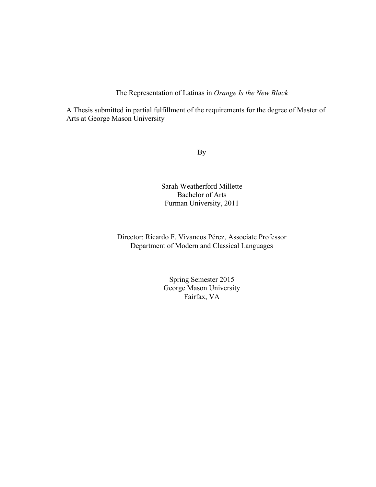The Representation of Latinas in *Orange Is the New Black*

A Thesis submitted in partial fulfillment of the requirements for the degree of Master of Arts at George Mason University

By

Sarah Weatherford Millette Bachelor of Arts Furman University, 2011

Director: Ricardo F. Vivancos Pérez, Associate Professor Department of Modern and Classical Languages

> Spring Semester 2015 George Mason University Fairfax, VA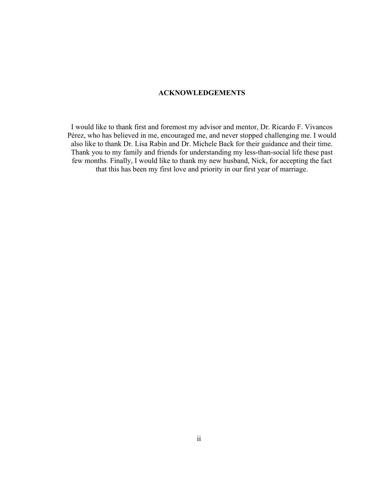# **ACKNOWLEDGEMENTS**

I would like to thank first and foremost my advisor and mentor, Dr. Ricardo F. Vivancos Pérez, who has believed in me, encouraged me, and never stopped challenging me. I would also like to thank Dr. Lisa Rabin and Dr. Michele Back for their guidance and their time. Thank you to my family and friends for understanding my less-than-social life these past few months. Finally, I would like to thank my new husband, Nick, for accepting the fact that this has been my first love and priority in our first year of marriage.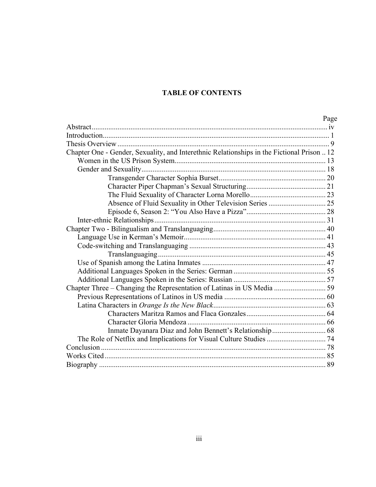# **TABLE OF CONTENTS**

|                                                                                            | Page |
|--------------------------------------------------------------------------------------------|------|
|                                                                                            |      |
|                                                                                            |      |
|                                                                                            |      |
| Chapter One - Gender, Sexuality, and Interethnic Relationships in the Fictional Prison  12 |      |
|                                                                                            |      |
|                                                                                            |      |
|                                                                                            |      |
|                                                                                            |      |
|                                                                                            |      |
|                                                                                            |      |
|                                                                                            |      |
|                                                                                            |      |
|                                                                                            |      |
|                                                                                            |      |
|                                                                                            |      |
|                                                                                            |      |
|                                                                                            |      |
|                                                                                            |      |
|                                                                                            |      |
| Chapter Three – Changing the Representation of Latinas in US Media  59                     |      |
|                                                                                            |      |
|                                                                                            |      |
|                                                                                            |      |
|                                                                                            |      |
|                                                                                            |      |
|                                                                                            |      |
|                                                                                            |      |
|                                                                                            |      |
|                                                                                            |      |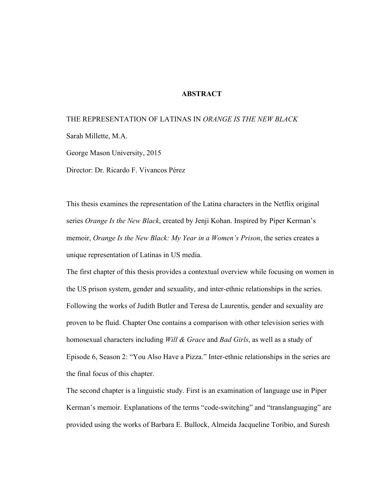### **ABSTRACT**

# THE REPRESENTATION OF LATINAS IN *ORANGE IS THE NEW BLACK*

Sarah Millette, M.A.

George Mason University, 2015

Director: Dr. Ricardo F. Vivancos Pérez

This thesis examines the representation of the Latina characters in the Netflix original series *Orange Is the New Black*, created by Jenji Kohan. Inspired by Piper Kerman's memoir, *Orange Is the New Black: My Year in a Women's Prison*, the series creates a unique representation of Latinas in US media.

The first chapter of this thesis provides a contextual overview while focusing on women in the US prison system, gender and sexuality, and inter-ethnic relationships in the series. Following the works of Judith Butler and Teresa de Laurentis, gender and sexuality are proven to be fluid. Chapter One contains a comparison with other television series with homosexual characters including *Will & Grace* and *Bad Girls*, as well as a study of Episode 6, Season 2: "You Also Have a Pizza." Inter-ethnic relationships in the series are the final focus of this chapter.

The second chapter is a linguistic study. First is an examination of language use in Piper Kerman's memoir. Explanations of the terms "code-switching" and "translanguaging" are provided using the works of Barbara E. Bullock, Almeida Jacqueline Toribio, and Suresh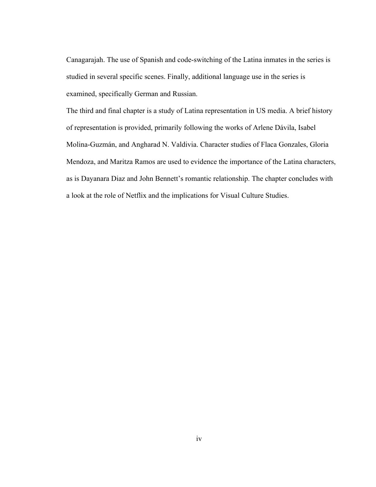Canagarajah. The use of Spanish and code-switching of the Latina inmates in the series is studied in several specific scenes. Finally, additional language use in the series is examined, specifically German and Russian.

The third and final chapter is a study of Latina representation in US media. A brief history of representation is provided, primarily following the works of Arlene Dávila, Isabel Molina-Guzmán, and Angharad N. Valdivia. Character studies of Flaca Gonzales, Gloria Mendoza, and Maritza Ramos are used to evidence the importance of the Latina characters, as is Dayanara Diaz and John Bennett's romantic relationship. The chapter concludes with a look at the role of Netflix and the implications for Visual Culture Studies.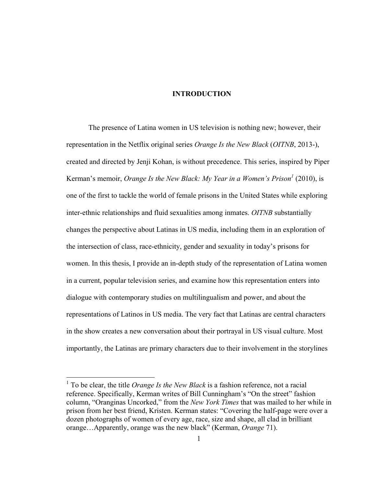### **INTRODUCTION**

The presence of Latina women in US television is nothing new; however, their representation in the Netflix original series *Orange Is the New Black* (*OITNB*, 2013-), created and directed by Jenji Kohan, is without precedence. This series, inspired by Piper Kerman's memoir, *Orange Is the New Black: My Year in a Women's Prison*<sup>1</sup> (2010), is one of the first to tackle the world of female prisons in the United States while exploring inter-ethnic relationships and fluid sexualities among inmates. *OITNB* substantially changes the perspective about Latinas in US media, including them in an exploration of the intersection of class, race-ethnicity, gender and sexuality in today's prisons for women. In this thesis, I provide an in-depth study of the representation of Latina women in a current, popular television series, and examine how this representation enters into dialogue with contemporary studies on multilingualism and power, and about the representations of Latinos in US media. The very fact that Latinas are central characters in the show creates a new conversation about their portrayal in US visual culture. Most importantly, the Latinas are primary characters due to their involvement in the storylines

 <sup>1</sup> To be clear, the title *Orange Is the New Black* is a fashion reference, not a racial reference. Specifically, Kerman writes of Bill Cunningham's "On the street" fashion column, "Oranginas Uncorked," from the *New York Times* that was mailed to her while in prison from her best friend, Kristen. Kerman states: "Covering the half-page were over a dozen photographs of women of every age, race, size and shape, all clad in brilliant orange…Apparently, orange was the new black" (Kerman, *Orange* 71).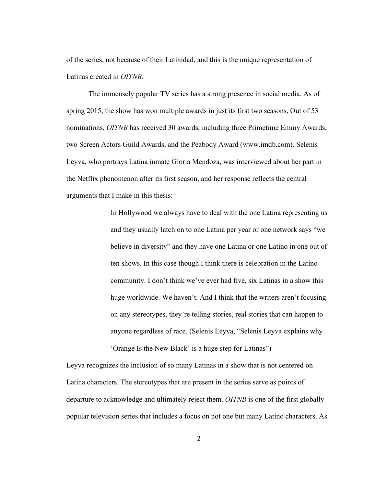of the series, not because of their Latinidad, and this is the unique representation of Latinas created in *OITNB*.

The immensely popular TV series has a strong presence in social media. As of spring 2015, the show has won multiple awards in just its first two seasons. Out of 53 nominations, *OITNB* has received 30 awards, including three Primetime Emmy Awards, two Screen Actors Guild Awards, and the Peabody Award (www.imdb.com). Selenis Leyva, who portrays Latina inmate Gloria Mendoza, was interviewed about her part in the Netflix phenomenon after its first season, and her response reflects the central arguments that I make in this thesis:

> In Hollywood we always have to deal with the one Latina representing us and they usually latch on to one Latina per year or one network says "we believe in diversity" and they have one Latina or one Latino in one out of ten shows. In this case though I think there is celebration in the Latino community. I don't think we've ever had five, six Latinas in a show this huge worldwide. We haven't. And I think that the writers aren't focusing on any stereotypes, they're telling stories, real stories that can happen to anyone regardless of race. (Selenis Leyva, "Selenis Leyva explains why 'Orange Is the New Black' is a huge step for Latinas")

Leyva recognizes the inclusion of so many Latinas in a show that is not centered on Latina characters. The stereotypes that are present in the series serve as points of departure to acknowledge and ultimately reject them. *OITNB* is one of the first globally popular television series that includes a focus on not one but many Latino characters. As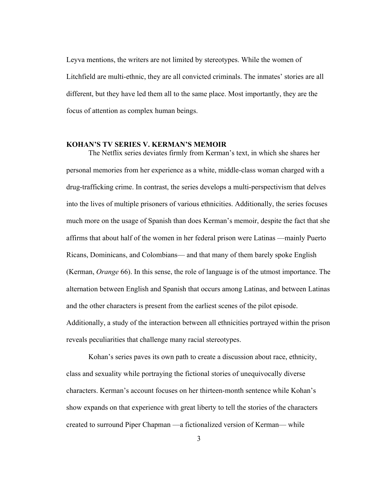Leyva mentions, the writers are not limited by stereotypes. While the women of Litchfield are multi-ethnic, they are all convicted criminals. The inmates' stories are all different, but they have led them all to the same place. Most importantly, they are the focus of attention as complex human beings.

#### **KOHAN'S TV SERIES V. KERMAN'S MEMOIR**

The Netflix series deviates firmly from Kerman's text, in which she shares her personal memories from her experience as a white, middle-class woman charged with a drug-trafficking crime. In contrast, the series develops a multi-perspectivism that delves into the lives of multiple prisoners of various ethnicities. Additionally, the series focuses much more on the usage of Spanish than does Kerman's memoir, despite the fact that she affirms that about half of the women in her federal prison were Latinas —mainly Puerto Ricans, Dominicans, and Colombians— and that many of them barely spoke English (Kerman, *Orange* 66). In this sense, the role of language is of the utmost importance. The alternation between English and Spanish that occurs among Latinas, and between Latinas and the other characters is present from the earliest scenes of the pilot episode. Additionally, a study of the interaction between all ethnicities portrayed within the prison reveals peculiarities that challenge many racial stereotypes.

Kohan's series paves its own path to create a discussion about race, ethnicity, class and sexuality while portraying the fictional stories of unequivocally diverse characters. Kerman's account focuses on her thirteen-month sentence while Kohan's show expands on that experience with great liberty to tell the stories of the characters created to surround Piper Chapman —a fictionalized version of Kerman— while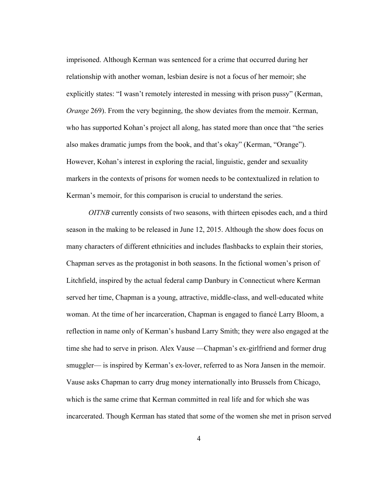imprisoned. Although Kerman was sentenced for a crime that occurred during her relationship with another woman, lesbian desire is not a focus of her memoir; she explicitly states: "I wasn't remotely interested in messing with prison pussy" (Kerman, *Orange* 269). From the very beginning, the show deviates from the memoir. Kerman, who has supported Kohan's project all along, has stated more than once that "the series also makes dramatic jumps from the book, and that's okay" (Kerman, "Orange"). However, Kohan's interest in exploring the racial, linguistic, gender and sexuality markers in the contexts of prisons for women needs to be contextualized in relation to Kerman's memoir, for this comparison is crucial to understand the series.

*OITNB* currently consists of two seasons, with thirteen episodes each, and a third season in the making to be released in June 12, 2015. Although the show does focus on many characters of different ethnicities and includes flashbacks to explain their stories, Chapman serves as the protagonist in both seasons. In the fictional women's prison of Litchfield, inspired by the actual federal camp Danbury in Connecticut where Kerman served her time, Chapman is a young, attractive, middle-class, and well-educated white woman. At the time of her incarceration, Chapman is engaged to fiancé Larry Bloom, a reflection in name only of Kerman's husband Larry Smith; they were also engaged at the time she had to serve in prison. Alex Vause —Chapman's ex-girlfriend and former drug smuggler— is inspired by Kerman's ex-lover, referred to as Nora Jansen in the memoir. Vause asks Chapman to carry drug money internationally into Brussels from Chicago, which is the same crime that Kerman committed in real life and for which she was incarcerated. Though Kerman has stated that some of the women she met in prison served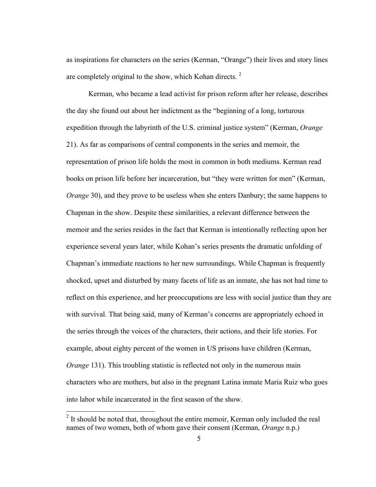as inspirations for characters on the series (Kerman, "Orange") their lives and story lines are completely original to the show, which Kohan directs.  $2^2$ 

Kerman, who became a lead activist for prison reform after her release, describes the day she found out about her indictment as the "beginning of a long, torturous expedition through the labyrinth of the U.S. criminal justice system" (Kerman, *Orange* 21). As far as comparisons of central components in the series and memoir, the representation of prison life holds the most in common in both mediums. Kerman read books on prison life before her incarceration, but "they were written for men" (Kerman, *Orange* 30), and they prove to be useless when she enters Danbury; the same happens to Chapman in the show. Despite these similarities, a relevant difference between the memoir and the series resides in the fact that Kerman is intentionally reflecting upon her experience several years later, while Kohan's series presents the dramatic unfolding of Chapman's immediate reactions to her new surroundings. While Chapman is frequently shocked, upset and disturbed by many facets of life as an inmate, she has not had time to reflect on this experience, and her preoccupations are less with social justice than they are with survival. That being said, many of Kerman's concerns are appropriately echoed in the series through the voices of the characters, their actions, and their life stories. For example, about eighty percent of the women in US prisons have children (Kerman, *Orange* 131). This troubling statistic is reflected not only in the numerous main characters who are mothers, but also in the pregnant Latina inmate Maria Ruiz who goes into labor while incarcerated in the first season of the show.

<sup>&</sup>lt;sup>2</sup> It should be noted that, throughout the entire memoir, Kerman only included the real names of two women, both of whom gave their consent (Kerman, *Orange* n.p.)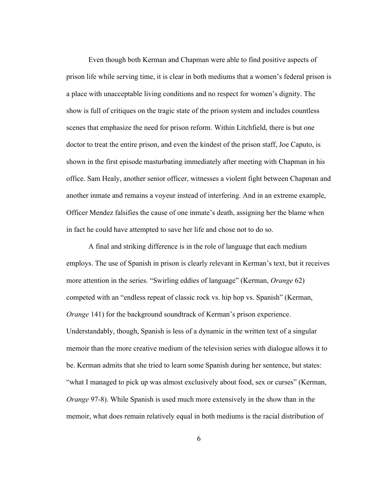Even though both Kerman and Chapman were able to find positive aspects of prison life while serving time, it is clear in both mediums that a women's federal prison is a place with unacceptable living conditions and no respect for women's dignity. The show is full of critiques on the tragic state of the prison system and includes countless scenes that emphasize the need for prison reform. Within Litchfield, there is but one doctor to treat the entire prison, and even the kindest of the prison staff, Joe Caputo, is shown in the first episode masturbating immediately after meeting with Chapman in his office. Sam Healy, another senior officer, witnesses a violent fight between Chapman and another inmate and remains a voyeur instead of interfering. And in an extreme example, Officer Mendez falsifies the cause of one inmate's death, assigning her the blame when in fact he could have attempted to save her life and chose not to do so.

A final and striking difference is in the role of language that each medium employs. The use of Spanish in prison is clearly relevant in Kerman's text, but it receives more attention in the series. "Swirling eddies of language" (Kerman, *Orange* 62) competed with an "endless repeat of classic rock vs. hip hop vs. Spanish" (Kerman, *Orange* 141) for the background soundtrack of Kerman's prison experience. Understandably, though, Spanish is less of a dynamic in the written text of a singular memoir than the more creative medium of the television series with dialogue allows it to be. Kerman admits that she tried to learn some Spanish during her sentence, but states: "what I managed to pick up was almost exclusively about food, sex or curses" (Kerman, *Orange* 97-8). While Spanish is used much more extensively in the show than in the memoir, what does remain relatively equal in both mediums is the racial distribution of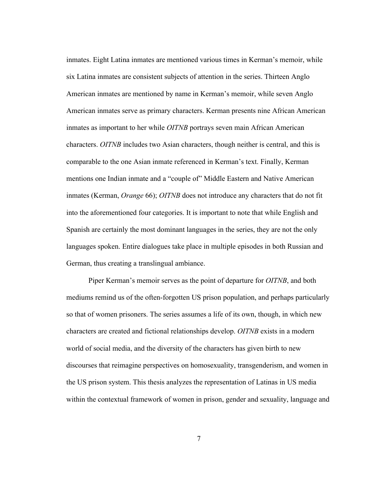inmates. Eight Latina inmates are mentioned various times in Kerman's memoir, while six Latina inmates are consistent subjects of attention in the series. Thirteen Anglo American inmates are mentioned by name in Kerman's memoir, while seven Anglo American inmates serve as primary characters. Kerman presents nine African American inmates as important to her while *OITNB* portrays seven main African American characters. *OITNB* includes two Asian characters, though neither is central, and this is comparable to the one Asian inmate referenced in Kerman's text. Finally, Kerman mentions one Indian inmate and a "couple of" Middle Eastern and Native American inmates (Kerman, *Orange* 66); *OITNB* does not introduce any characters that do not fit into the aforementioned four categories. It is important to note that while English and Spanish are certainly the most dominant languages in the series, they are not the only languages spoken. Entire dialogues take place in multiple episodes in both Russian and German, thus creating a translingual ambiance.

Piper Kerman's memoir serves as the point of departure for *OITNB*, and both mediums remind us of the often-forgotten US prison population, and perhaps particularly so that of women prisoners. The series assumes a life of its own, though, in which new characters are created and fictional relationships develop. *OITNB* exists in a modern world of social media, and the diversity of the characters has given birth to new discourses that reimagine perspectives on homosexuality, transgenderism, and women in the US prison system. This thesis analyzes the representation of Latinas in US media within the contextual framework of women in prison, gender and sexuality, language and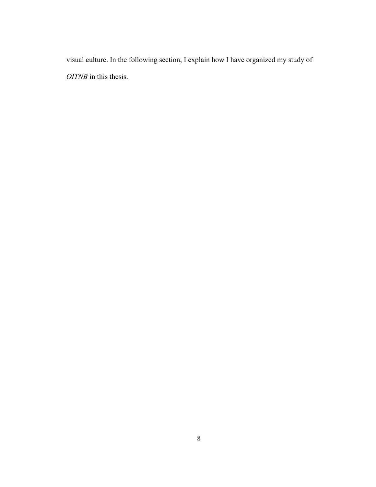visual culture. In the following section, I explain how I have organized my study of *OITNB* in this thesis.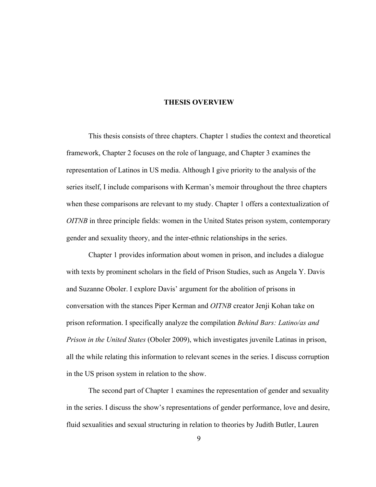#### **THESIS OVERVIEW**

This thesis consists of three chapters. Chapter 1 studies the context and theoretical framework, Chapter 2 focuses on the role of language, and Chapter 3 examines the representation of Latinos in US media. Although I give priority to the analysis of the series itself, I include comparisons with Kerman's memoir throughout the three chapters when these comparisons are relevant to my study. Chapter 1 offers a contextualization of *OITNB* in three principle fields: women in the United States prison system, contemporary gender and sexuality theory, and the inter-ethnic relationships in the series.

Chapter 1 provides information about women in prison, and includes a dialogue with texts by prominent scholars in the field of Prison Studies, such as Angela Y. Davis and Suzanne Oboler. I explore Davis' argument for the abolition of prisons in conversation with the stances Piper Kerman and *OITNB* creator Jenji Kohan take on prison reformation. I specifically analyze the compilation *Behind Bars: Latino/as and Prison in the United States* (Oboler 2009), which investigates juvenile Latinas in prison, all the while relating this information to relevant scenes in the series. I discuss corruption in the US prison system in relation to the show.

The second part of Chapter 1 examines the representation of gender and sexuality in the series. I discuss the show's representations of gender performance, love and desire, fluid sexualities and sexual structuring in relation to theories by Judith Butler, Lauren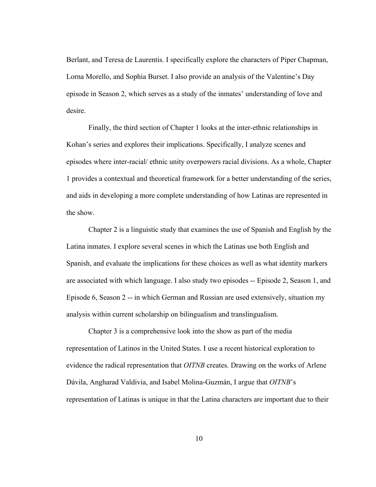Berlant, and Teresa de Laurentis. I specifically explore the characters of Piper Chapman, Lorna Morello, and Sophia Burset. I also provide an analysis of the Valentine's Day episode in Season 2, which serves as a study of the inmates' understanding of love and desire.

Finally, the third section of Chapter 1 looks at the inter-ethnic relationships in Kohan's series and explores their implications. Specifically, I analyze scenes and episodes where inter-racial/ ethnic unity overpowers racial divisions. As a whole, Chapter 1 provides a contextual and theoretical framework for a better understanding of the series, and aids in developing a more complete understanding of how Latinas are represented in the show.

Chapter 2 is a linguistic study that examines the use of Spanish and English by the Latina inmates. I explore several scenes in which the Latinas use both English and Spanish, and evaluate the implications for these choices as well as what identity markers are associated with which language. I also study two episodes -- Episode 2, Season 1, and Episode 6, Season 2 -- in which German and Russian are used extensively, situation my analysis within current scholarship on bilingualism and translingualism.

Chapter 3 is a comprehensive look into the show as part of the media representation of Latinos in the United States. I use a recent historical exploration to evidence the radical representation that *OITNB* creates. Drawing on the works of Arlene Dávila, Angharad Valdivia, and Isabel Molina-Guzmán, I argue that *OITNB*'s representation of Latinas is unique in that the Latina characters are important due to their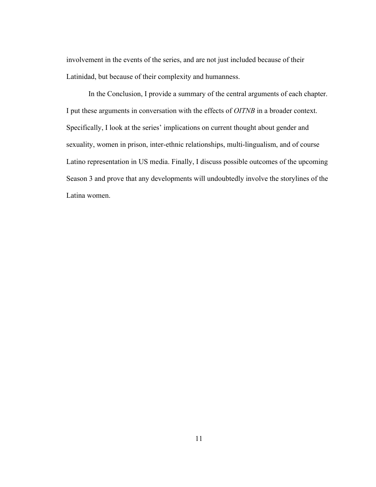involvement in the events of the series, and are not just included because of their Latinidad, but because of their complexity and humanness.

In the Conclusion, I provide a summary of the central arguments of each chapter. I put these arguments in conversation with the effects of *OITNB* in a broader context. Specifically, I look at the series' implications on current thought about gender and sexuality, women in prison, inter-ethnic relationships, multi-lingualism, and of course Latino representation in US media. Finally, I discuss possible outcomes of the upcoming Season 3 and prove that any developments will undoubtedly involve the storylines of the Latina women.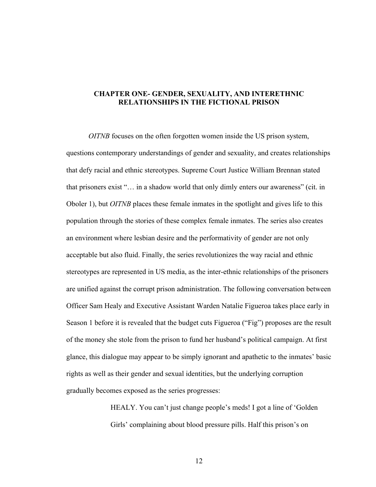# **CHAPTER ONE- GENDER, SEXUALITY, AND INTERETHNIC RELATIONSHIPS IN THE FICTIONAL PRISON**

*OITNB* focuses on the often forgotten women inside the US prison system, questions contemporary understandings of gender and sexuality, and creates relationships that defy racial and ethnic stereotypes. Supreme Court Justice William Brennan stated that prisoners exist "… in a shadow world that only dimly enters our awareness" (cit. in Oboler 1), but *OITNB* places these female inmates in the spotlight and gives life to this population through the stories of these complex female inmates. The series also creates an environment where lesbian desire and the performativity of gender are not only acceptable but also fluid. Finally, the series revolutionizes the way racial and ethnic stereotypes are represented in US media, as the inter-ethnic relationships of the prisoners are unified against the corrupt prison administration. The following conversation between Officer Sam Healy and Executive Assistant Warden Natalie Figueroa takes place early in Season 1 before it is revealed that the budget cuts Figueroa ("Fig") proposes are the result of the money she stole from the prison to fund her husband's political campaign. At first glance, this dialogue may appear to be simply ignorant and apathetic to the inmates' basic rights as well as their gender and sexual identities, but the underlying corruption gradually becomes exposed as the series progresses:

> HEALY. You can't just change people's meds! I got a line of 'Golden Girls' complaining about blood pressure pills. Half this prison's on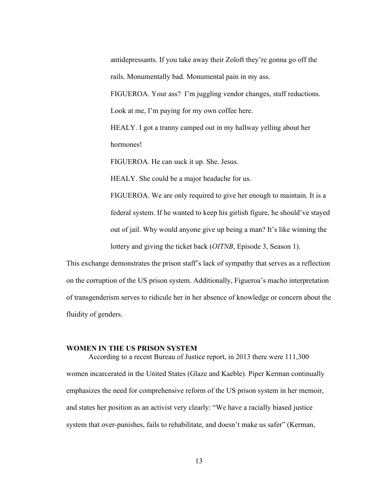antidepressants. If you take away their Zoloft they're gonna go off the rails. Monumentally bad. Monumental pain in my ass. FIGUEROA. Your ass? I'm juggling vendor changes, staff reductions. Look at me, I'm paying for my own coffee here.

HEALY. I got a tranny camped out in my hallway yelling about her hormones!

FIGUEROA. He can suck it up. She. Jesus.

HEALY. She could be a major headache for us.

FIGUEROA. We are only required to give her enough to maintain. It is a federal system. If he wanted to keep his girlish figure, he should've stayed out of jail. Why would anyone give up being a man? It's like winning the lottery and giving the ticket back (*OITNB*, Episode 3, Season 1).

This exchange demonstrates the prison staff's lack of sympathy that serves as a reflection on the corruption of the US prison system. Additionally, Figueroa's macho interpretation of transgenderism serves to ridicule her in her absence of knowledge or concern about the fluidity of genders.

#### **WOMEN IN THE US PRISON SYSTEM**

According to a recent Bureau of Justice report, in 2013 there were 111,300 women incarcerated in the United States (Glaze and Kaeble). Piper Kerman continually emphasizes the need for comprehensive reform of the US prison system in her memoir, and states her position as an activist very clearly: "We have a racially biased justice system that over-punishes, fails to rehabilitate, and doesn't make us safer" (Kerman,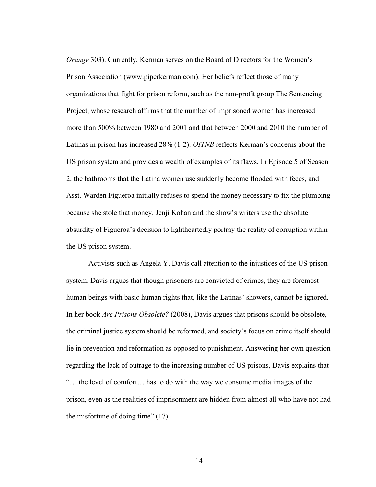*Orange* 303). Currently, Kerman serves on the Board of Directors for the Women's Prison Association (www.piperkerman.com). Her beliefs reflect those of many organizations that fight for prison reform, such as the non-profit group The Sentencing Project, whose research affirms that the number of imprisoned women has increased more than 500% between 1980 and 2001 and that between 2000 and 2010 the number of Latinas in prison has increased 28% (1-2). *OITNB* reflects Kerman's concerns about the US prison system and provides a wealth of examples of its flaws. In Episode 5 of Season 2, the bathrooms that the Latina women use suddenly become flooded with feces, and Asst. Warden Figueroa initially refuses to spend the money necessary to fix the plumbing because she stole that money. Jenji Kohan and the show's writers use the absolute absurdity of Figueroa's decision to lightheartedly portray the reality of corruption within the US prison system.

Activists such as Angela Y. Davis call attention to the injustices of the US prison system. Davis argues that though prisoners are convicted of crimes, they are foremost human beings with basic human rights that, like the Latinas' showers, cannot be ignored. In her book *Are Prisons Obsolete?* (2008), Davis argues that prisons should be obsolete, the criminal justice system should be reformed, and society's focus on crime itself should lie in prevention and reformation as opposed to punishment. Answering her own question regarding the lack of outrage to the increasing number of US prisons, Davis explains that "… the level of comfort… has to do with the way we consume media images of the prison, even as the realities of imprisonment are hidden from almost all who have not had the misfortune of doing time" (17).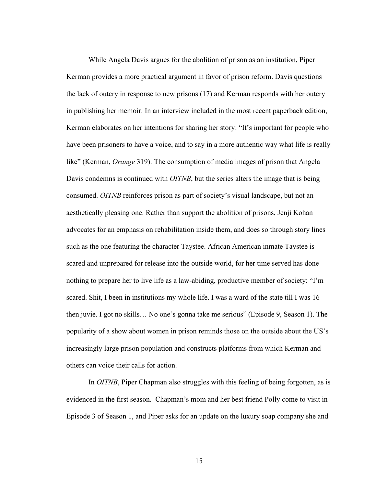While Angela Davis argues for the abolition of prison as an institution, Piper Kerman provides a more practical argument in favor of prison reform. Davis questions the lack of outcry in response to new prisons (17) and Kerman responds with her outcry in publishing her memoir. In an interview included in the most recent paperback edition, Kerman elaborates on her intentions for sharing her story: "It's important for people who have been prisoners to have a voice, and to say in a more authentic way what life is really like" (Kerman, *Orange* 319). The consumption of media images of prison that Angela Davis condemns is continued with *OITNB*, but the series alters the image that is being consumed. *OITNB* reinforces prison as part of society's visual landscape, but not an aesthetically pleasing one. Rather than support the abolition of prisons, Jenji Kohan advocates for an emphasis on rehabilitation inside them, and does so through story lines such as the one featuring the character Taystee. African American inmate Taystee is scared and unprepared for release into the outside world, for her time served has done nothing to prepare her to live life as a law-abiding, productive member of society: "I'm scared. Shit, I been in institutions my whole life. I was a ward of the state till I was 16 then juvie. I got no skills… No one's gonna take me serious" (Episode 9, Season 1). The popularity of a show about women in prison reminds those on the outside about the US's increasingly large prison population and constructs platforms from which Kerman and others can voice their calls for action.

In *OITNB*, Piper Chapman also struggles with this feeling of being forgotten, as is evidenced in the first season. Chapman's mom and her best friend Polly come to visit in Episode 3 of Season 1, and Piper asks for an update on the luxury soap company she and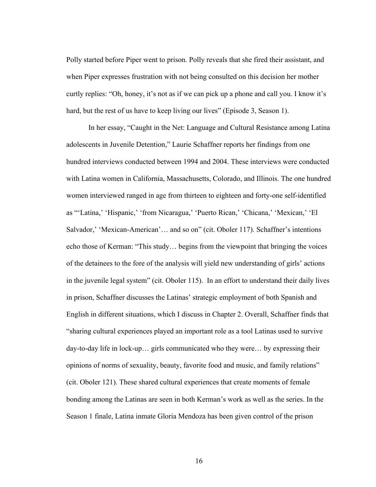Polly started before Piper went to prison. Polly reveals that she fired their assistant, and when Piper expresses frustration with not being consulted on this decision her mother curtly replies: "Oh, honey, it's not as if we can pick up a phone and call you. I know it's hard, but the rest of us have to keep living our lives" (Episode 3, Season 1).

In her essay, "Caught in the Net: Language and Cultural Resistance among Latina adolescents in Juvenile Detention," Laurie Schaffner reports her findings from one hundred interviews conducted between 1994 and 2004. These interviews were conducted with Latina women in California, Massachusetts, Colorado, and Illinois. The one hundred women interviewed ranged in age from thirteen to eighteen and forty-one self-identified as "'Latina,' 'Hispanic,' 'from Nicaragua,' 'Puerto Rican,' 'Chicana,' 'Mexican,' 'El Salvador,' 'Mexican-American'… and so on" (cit. Oboler 117). Schaffner's intentions echo those of Kerman: "This study… begins from the viewpoint that bringing the voices of the detainees to the fore of the analysis will yield new understanding of girls' actions in the juvenile legal system" (cit. Oboler 115). In an effort to understand their daily lives in prison, Schaffner discusses the Latinas' strategic employment of both Spanish and English in different situations, which I discuss in Chapter 2. Overall, Schaffner finds that "sharing cultural experiences played an important role as a tool Latinas used to survive day-to-day life in lock-up… girls communicated who they were… by expressing their opinions of norms of sexuality, beauty, favorite food and music, and family relations" (cit. Oboler 121). These shared cultural experiences that create moments of female bonding among the Latinas are seen in both Kerman's work as well as the series. In the Season 1 finale, Latina inmate Gloria Mendoza has been given control of the prison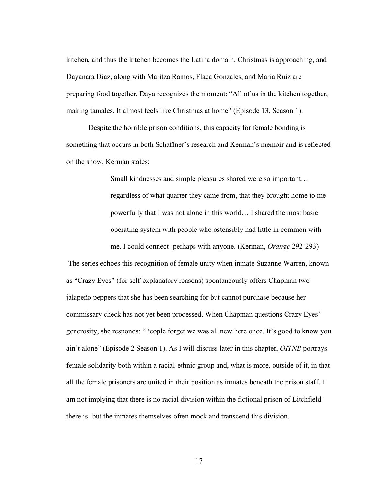kitchen, and thus the kitchen becomes the Latina domain. Christmas is approaching, and Dayanara Diaz, along with Maritza Ramos, Flaca Gonzales, and Maria Ruiz are preparing food together. Daya recognizes the moment: "All of us in the kitchen together, making tamales. It almost feels like Christmas at home" (Episode 13, Season 1).

Despite the horrible prison conditions, this capacity for female bonding is something that occurs in both Schaffner's research and Kerman's memoir and is reflected on the show. Kerman states:

> Small kindnesses and simple pleasures shared were so important… regardless of what quarter they came from, that they brought home to me powerfully that I was not alone in this world… I shared the most basic operating system with people who ostensibly had little in common with

me. I could connect- perhaps with anyone. (Kerman, *Orange* 292-293)

 The series echoes this recognition of female unity when inmate Suzanne Warren, known as "Crazy Eyes" (for self-explanatory reasons) spontaneously offers Chapman two jalapeño peppers that she has been searching for but cannot purchase because her commissary check has not yet been processed. When Chapman questions Crazy Eyes' generosity, she responds: "People forget we was all new here once. It's good to know you ain't alone" (Episode 2 Season 1). As I will discuss later in this chapter, *OITNB* portrays female solidarity both within a racial-ethnic group and, what is more, outside of it, in that all the female prisoners are united in their position as inmates beneath the prison staff. I am not implying that there is no racial division within the fictional prison of Litchfieldthere is- but the inmates themselves often mock and transcend this division.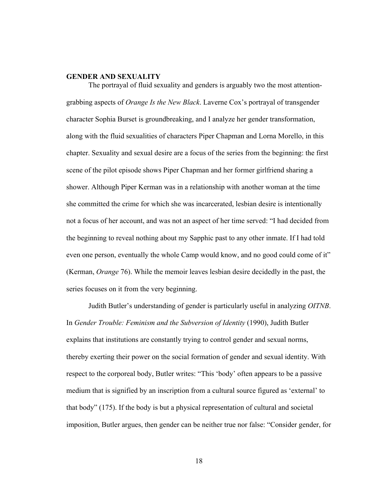#### **GENDER AND SEXUALITY**

The portrayal of fluid sexuality and genders is arguably two the most attentiongrabbing aspects of *Orange Is the New Black*. Laverne Cox's portrayal of transgender character Sophia Burset is groundbreaking, and I analyze her gender transformation, along with the fluid sexualities of characters Piper Chapman and Lorna Morello, in this chapter. Sexuality and sexual desire are a focus of the series from the beginning: the first scene of the pilot episode shows Piper Chapman and her former girlfriend sharing a shower. Although Piper Kerman was in a relationship with another woman at the time she committed the crime for which she was incarcerated, lesbian desire is intentionally not a focus of her account, and was not an aspect of her time served: "I had decided from the beginning to reveal nothing about my Sapphic past to any other inmate. If I had told even one person, eventually the whole Camp would know, and no good could come of it" (Kerman, *Orange* 76). While the memoir leaves lesbian desire decidedly in the past, the series focuses on it from the very beginning.

Judith Butler's understanding of gender is particularly useful in analyzing *OITNB*. In *Gender Trouble: Feminism and the Subversion of Identity* (1990), Judith Butler explains that institutions are constantly trying to control gender and sexual norms, thereby exerting their power on the social formation of gender and sexual identity. With respect to the corporeal body, Butler writes: "This 'body' often appears to be a passive medium that is signified by an inscription from a cultural source figured as 'external' to that body" (175). If the body is but a physical representation of cultural and societal imposition, Butler argues, then gender can be neither true nor false: "Consider gender, for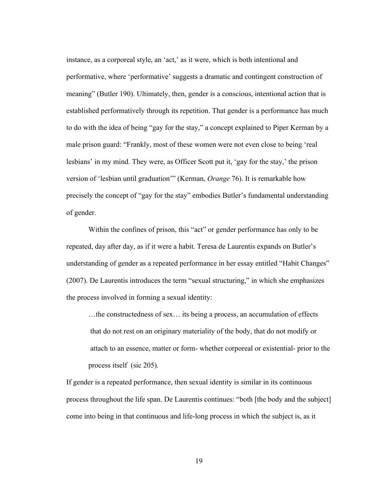instance, as a corporeal style, an 'act,' as it were, which is both intentional and performative, where 'performative' suggests a dramatic and contingent construction of meaning" (Butler 190). Ultimately, then, gender is a conscious, intentional action that is established performatively through its repetition. That gender is a performance has much to do with the idea of being "gay for the stay," a concept explained to Piper Kerman by a male prison guard: "Frankly, most of these women were not even close to being 'real lesbians' in my mind. They were, as Officer Scott put it, 'gay for the stay,' the prison version of 'lesbian until graduation'" (Kerman, *Orange* 76). It is remarkable how precisely the concept of "gay for the stay" embodies Butler's fundamental understanding of gender.

Within the confines of prison, this "act" or gender performance has only to be repeated, day after day, as if it were a habit. Teresa de Laurentis expands on Butler's understanding of gender as a repeated performance in her essay entitled "Habit Changes" (2007). De Laurentis introduces the term "sexual structuring," in which she emphasizes the process involved in forming a sexual identity:

…the constructedness of sex… its being a process, an accumulation of effects that do not rest on an originary materiality of the body, that do not modify or attach to an essence, matter or form- whether corporeal or existential- prior to the process itself (sic 205).

If gender is a repeated performance, then sexual identity is similar in its continuous process throughout the life span. De Laurentis continues: "both [the body and the subject] come into being in that continuous and life-long process in which the subject is, as it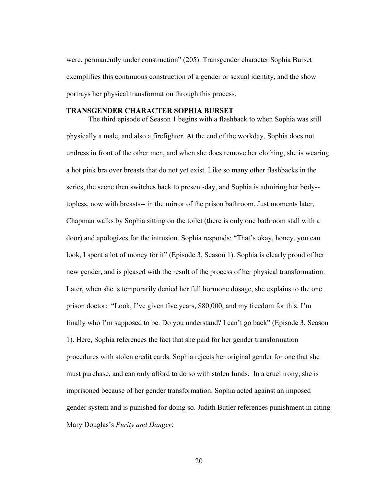were, permanently under construction" (205). Transgender character Sophia Burset exemplifies this continuous construction of a gender or sexual identity, and the show portrays her physical transformation through this process.

#### **TRANSGENDER CHARACTER SOPHIA BURSET**

The third episode of Season 1 begins with a flashback to when Sophia was still physically a male, and also a firefighter. At the end of the workday, Sophia does not undress in front of the other men, and when she does remove her clothing, she is wearing a hot pink bra over breasts that do not yet exist. Like so many other flashbacks in the series, the scene then switches back to present-day, and Sophia is admiring her body- topless, now with breasts-- in the mirror of the prison bathroom. Just moments later, Chapman walks by Sophia sitting on the toilet (there is only one bathroom stall with a door) and apologizes for the intrusion. Sophia responds: "That's okay, honey, you can look, I spent a lot of money for it" (Episode 3, Season 1). Sophia is clearly proud of her new gender, and is pleased with the result of the process of her physical transformation. Later, when she is temporarily denied her full hormone dosage, she explains to the one prison doctor: "Look, I've given five years, \$80,000, and my freedom for this. I'm finally who I'm supposed to be. Do you understand? I can't go back" (Episode 3, Season 1). Here, Sophia references the fact that she paid for her gender transformation procedures with stolen credit cards. Sophia rejects her original gender for one that she must purchase, and can only afford to do so with stolen funds. In a cruel irony, she is imprisoned because of her gender transformation. Sophia acted against an imposed gender system and is punished for doing so. Judith Butler references punishment in citing Mary Douglas's *Purity and Danger*: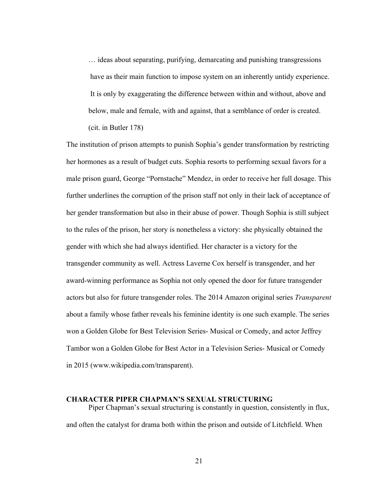… ideas about separating, purifying, demarcating and punishing transgressions have as their main function to impose system on an inherently untidy experience. It is only by exaggerating the difference between within and without, above and below, male and female, with and against, that a semblance of order is created. (cit. in Butler 178)

The institution of prison attempts to punish Sophia's gender transformation by restricting her hormones as a result of budget cuts. Sophia resorts to performing sexual favors for a male prison guard, George "Pornstache" Mendez, in order to receive her full dosage. This further underlines the corruption of the prison staff not only in their lack of acceptance of her gender transformation but also in their abuse of power. Though Sophia is still subject to the rules of the prison, her story is nonetheless a victory: she physically obtained the gender with which she had always identified. Her character is a victory for the transgender community as well. Actress Laverne Cox herself is transgender, and her award-winning performance as Sophia not only opened the door for future transgender actors but also for future transgender roles. The 2014 Amazon original series *Transparent* about a family whose father reveals his feminine identity is one such example. The series won a Golden Globe for Best Television Series- Musical or Comedy, and actor Jeffrey Tambor won a Golden Globe for Best Actor in a Television Series- Musical or Comedy in 2015 (www.wikipedia.com/transparent).

# **CHARACTER PIPER CHAPMAN'S SEXUAL STRUCTURING**

Piper Chapman's sexual structuring is constantly in question, consistently in flux, and often the catalyst for drama both within the prison and outside of Litchfield. When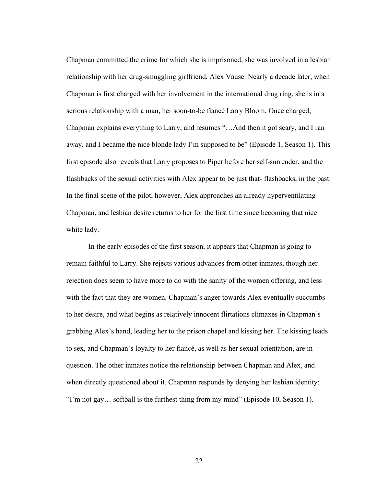Chapman committed the crime for which she is imprisoned, she was involved in a lesbian relationship with her drug-smuggling girlfriend, Alex Vause. Nearly a decade later, when Chapman is first charged with her involvement in the international drug ring, she is in a serious relationship with a man, her soon-to-be fiancé Larry Bloom. Once charged, Chapman explains everything to Larry, and resumes "…And then it got scary, and I ran away, and I became the nice blonde lady I'm supposed to be" (Episode 1, Season 1). This first episode also reveals that Larry proposes to Piper before her self-surrender, and the flashbacks of the sexual activities with Alex appear to be just that- flashbacks, in the past. In the final scene of the pilot, however, Alex approaches an already hyperventilating Chapman, and lesbian desire returns to her for the first time since becoming that nice white lady.

In the early episodes of the first season, it appears that Chapman is going to remain faithful to Larry. She rejects various advances from other inmates, though her rejection does seem to have more to do with the sanity of the women offering, and less with the fact that they are women. Chapman's anger towards Alex eventually succumbs to her desire, and what begins as relatively innocent flirtations climaxes in Chapman's grabbing Alex's hand, leading her to the prison chapel and kissing her. The kissing leads to sex, and Chapman's loyalty to her fiancé, as well as her sexual orientation, are in question. The other inmates notice the relationship between Chapman and Alex, and when directly questioned about it, Chapman responds by denying her lesbian identity: "I'm not gay… softball is the furthest thing from my mind" (Episode 10, Season 1).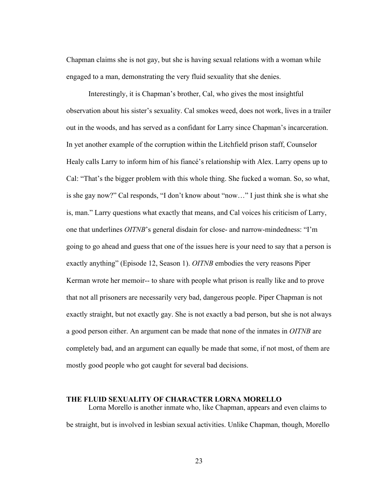Chapman claims she is not gay, but she is having sexual relations with a woman while engaged to a man, demonstrating the very fluid sexuality that she denies.

Interestingly, it is Chapman's brother, Cal, who gives the most insightful observation about his sister's sexuality. Cal smokes weed, does not work, lives in a trailer out in the woods, and has served as a confidant for Larry since Chapman's incarceration. In yet another example of the corruption within the Litchfield prison staff, Counselor Healy calls Larry to inform him of his fiancé's relationship with Alex. Larry opens up to Cal: "That's the bigger problem with this whole thing. She fucked a woman. So, so what, is she gay now?" Cal responds, "I don't know about "now…" I just think she is what she is, man." Larry questions what exactly that means, and Cal voices his criticism of Larry, one that underlines *OITNB*'s general disdain for close- and narrow-mindedness: "I'm going to go ahead and guess that one of the issues here is your need to say that a person is exactly anything" (Episode 12, Season 1). *OITNB* embodies the very reasons Piper Kerman wrote her memoir-- to share with people what prison is really like and to prove that not all prisoners are necessarily very bad, dangerous people. Piper Chapman is not exactly straight, but not exactly gay. She is not exactly a bad person, but she is not always a good person either. An argument can be made that none of the inmates in *OITNB* are completely bad, and an argument can equally be made that some, if not most, of them are mostly good people who got caught for several bad decisions.

# **THE FLUID SEXUALITY OF CHARACTER LORNA MORELLO**

Lorna Morello is another inmate who, like Chapman, appears and even claims to be straight, but is involved in lesbian sexual activities. Unlike Chapman, though, Morello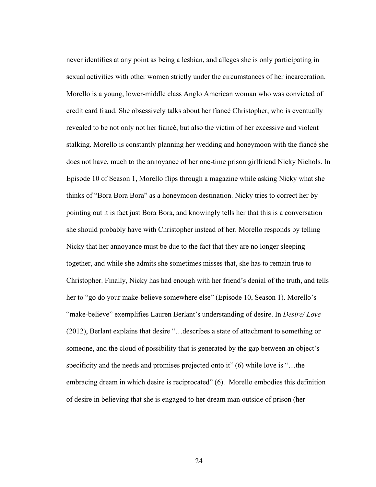never identifies at any point as being a lesbian, and alleges she is only participating in sexual activities with other women strictly under the circumstances of her incarceration. Morello is a young, lower-middle class Anglo American woman who was convicted of credit card fraud. She obsessively talks about her fiancé Christopher, who is eventually revealed to be not only not her fiancé, but also the victim of her excessive and violent stalking. Morello is constantly planning her wedding and honeymoon with the fiancé she does not have, much to the annoyance of her one-time prison girlfriend Nicky Nichols. In Episode 10 of Season 1, Morello flips through a magazine while asking Nicky what she thinks of "Bora Bora Bora" as a honeymoon destination. Nicky tries to correct her by pointing out it is fact just Bora Bora, and knowingly tells her that this is a conversation she should probably have with Christopher instead of her. Morello responds by telling Nicky that her annoyance must be due to the fact that they are no longer sleeping together, and while she admits she sometimes misses that, she has to remain true to Christopher. Finally, Nicky has had enough with her friend's denial of the truth, and tells her to "go do your make-believe somewhere else" (Episode 10, Season 1). Morello's "make-believe" exemplifies Lauren Berlant's understanding of desire. In *Desire/ Love* (2012), Berlant explains that desire "…describes a state of attachment to something or someone, and the cloud of possibility that is generated by the gap between an object's specificity and the needs and promises projected onto it" (6) while love is "...the embracing dream in which desire is reciprocated" (6). Morello embodies this definition of desire in believing that she is engaged to her dream man outside of prison (her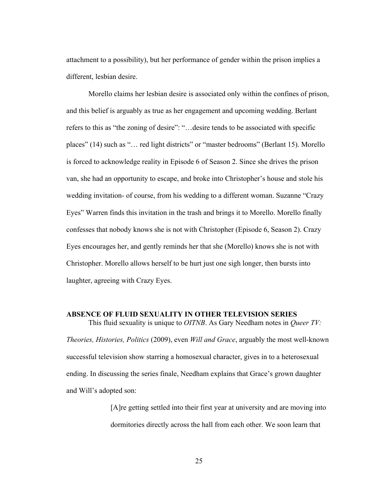attachment to a possibility), but her performance of gender within the prison implies a different, lesbian desire.

Morello claims her lesbian desire is associated only within the confines of prison, and this belief is arguably as true as her engagement and upcoming wedding. Berlant refers to this as "the zoning of desire": "…desire tends to be associated with specific places" (14) such as "… red light districts" or "master bedrooms" (Berlant 15). Morello is forced to acknowledge reality in Episode 6 of Season 2. Since she drives the prison van, she had an opportunity to escape, and broke into Christopher's house and stole his wedding invitation- of course, from his wedding to a different woman. Suzanne "Crazy Eyes" Warren finds this invitation in the trash and brings it to Morello. Morello finally confesses that nobody knows she is not with Christopher (Episode 6, Season 2). Crazy Eyes encourages her, and gently reminds her that she (Morello) knows she is not with Christopher. Morello allows herself to be hurt just one sigh longer, then bursts into laughter, agreeing with Crazy Eyes.

### **ABSENCE OF FLUID SEXUALITY IN OTHER TELEVISION SERIES**  This fluid sexuality is unique to *OITNB*. As Gary Needham notes in *Queer TV:*

*Theories, Histories, Politics* (2009), even *Will and Grace*, arguably the most well-known successful television show starring a homosexual character, gives in to a heterosexual ending. In discussing the series finale, Needham explains that Grace's grown daughter and Will's adopted son:

> [A]re getting settled into their first year at university and are moving into dormitories directly across the hall from each other. We soon learn that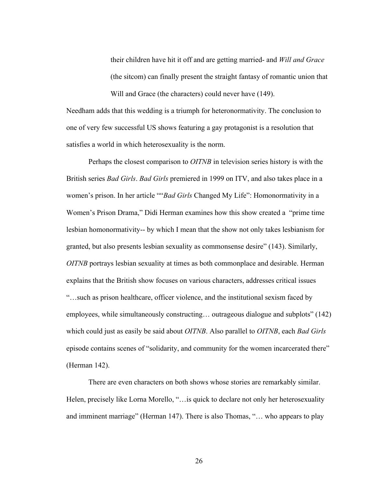their children have hit it off and are getting married- and *Will and Grace* (the sitcom) can finally present the straight fantasy of romantic union that Will and Grace (the characters) could never have (149).

Needham adds that this wedding is a triumph for heteronormativity. The conclusion to one of very few successful US shows featuring a gay protagonist is a resolution that satisfies a world in which heterosexuality is the norm.

Perhaps the closest comparison to *OITNB* in television series history is with the British series *Bad Girls*. *Bad Girls* premiered in 1999 on ITV, and also takes place in a women's prison. In her article ""*Bad Girls* Changed My Life": Homonormativity in a Women's Prison Drama," Didi Herman examines how this show created a "prime time lesbian homonormativity-- by which I mean that the show not only takes lesbianism for granted, but also presents lesbian sexuality as commonsense desire" (143). Similarly, *OITNB* portrays lesbian sexuality at times as both commonplace and desirable. Herman explains that the British show focuses on various characters, addresses critical issues "…such as prison healthcare, officer violence, and the institutional sexism faced by employees, while simultaneously constructing… outrageous dialogue and subplots" (142) which could just as easily be said about *OITNB*. Also parallel to *OITNB*, each *Bad Girls* episode contains scenes of "solidarity, and community for the women incarcerated there" (Herman 142).

There are even characters on both shows whose stories are remarkably similar. Helen, precisely like Lorna Morello, "... is quick to declare not only her heterosexuality and imminent marriage" (Herman 147). There is also Thomas, "… who appears to play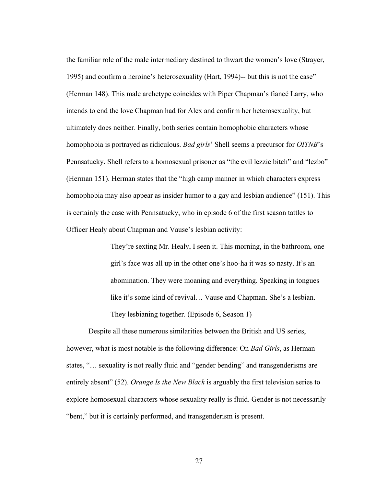the familiar role of the male intermediary destined to thwart the women's love (Strayer, 1995) and confirm a heroine's heterosexuality (Hart, 1994)-- but this is not the case" (Herman 148). This male archetype coincides with Piper Chapman's fiancé Larry, who intends to end the love Chapman had for Alex and confirm her heterosexuality, but ultimately does neither. Finally, both series contain homophobic characters whose homophobia is portrayed as ridiculous. *Bad girls*' Shell seems a precursor for *OITNB*'s Pennsatucky. Shell refers to a homosexual prisoner as "the evil lezzie bitch" and "lezbo" (Herman 151). Herman states that the "high camp manner in which characters express homophobia may also appear as insider humor to a gay and lesbian audience" (151). This is certainly the case with Pennsatucky, who in episode 6 of the first season tattles to Officer Healy about Chapman and Vause's lesbian activity:

> They're sexting Mr. Healy, I seen it. This morning, in the bathroom, one girl's face was all up in the other one's hoo-ha it was so nasty. It's an abomination. They were moaning and everything. Speaking in tongues like it's some kind of revival… Vause and Chapman. She's a lesbian. They lesbianing together. (Episode 6, Season 1)

Despite all these numerous similarities between the British and US series, however, what is most notable is the following difference: On *Bad Girls*, as Herman states, "… sexuality is not really fluid and "gender bending" and transgenderisms are entirely absent" (52). *Orange Is the New Black* is arguably the first television series to explore homosexual characters whose sexuality really is fluid. Gender is not necessarily "bent," but it is certainly performed, and transgenderism is present.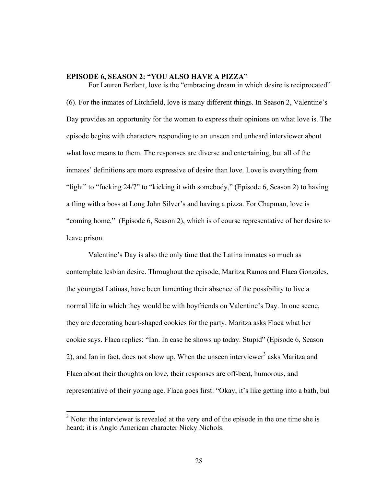#### **EPISODE 6, SEASON 2: "YOU ALSO HAVE A PIZZA"**

For Lauren Berlant, love is the "embracing dream in which desire is reciprocated" (6). For the inmates of Litchfield, love is many different things. In Season 2, Valentine's Day provides an opportunity for the women to express their opinions on what love is. The episode begins with characters responding to an unseen and unheard interviewer about what love means to them. The responses are diverse and entertaining, but all of the inmates' definitions are more expressive of desire than love. Love is everything from "light" to "fucking 24/7" to "kicking it with somebody," (Episode 6, Season 2) to having a fling with a boss at Long John Silver's and having a pizza. For Chapman, love is "coming home," (Episode 6, Season 2), which is of course representative of her desire to leave prison.

Valentine's Day is also the only time that the Latina inmates so much as contemplate lesbian desire. Throughout the episode, Maritza Ramos and Flaca Gonzales, the youngest Latinas, have been lamenting their absence of the possibility to live a normal life in which they would be with boyfriends on Valentine's Day. In one scene, they are decorating heart-shaped cookies for the party. Maritza asks Flaca what her cookie says. Flaca replies: "Ian. In case he shows up today. Stupid" (Episode 6, Season 2), and Ian in fact, does not show up. When the unseen interviewer<sup>3</sup> asks Maritza and Flaca about their thoughts on love, their responses are off-beat, humorous, and representative of their young age. Flaca goes first: "Okay, it's like getting into a bath, but

<sup>&</sup>lt;sup>3</sup> Note: the interviewer is revealed at the very end of the episode in the one time she is heard; it is Anglo American character Nicky Nichols.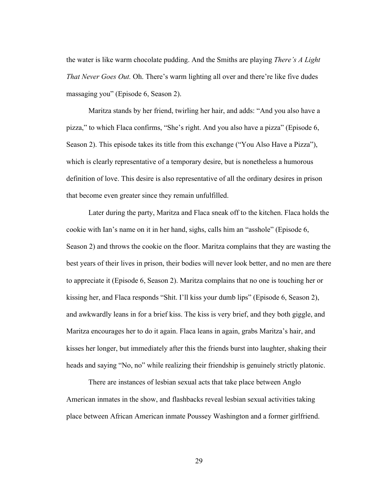the water is like warm chocolate pudding. And the Smiths are playing *There's A Light That Never Goes Out.* Oh. There's warm lighting all over and there're like five dudes massaging you" (Episode 6, Season 2).

Maritza stands by her friend, twirling her hair, and adds: "And you also have a pizza," to which Flaca confirms, "She's right. And you also have a pizza" (Episode 6, Season 2). This episode takes its title from this exchange ("You Also Have a Pizza"), which is clearly representative of a temporary desire, but is nonetheless a humorous definition of love. This desire is also representative of all the ordinary desires in prison that become even greater since they remain unfulfilled.

Later during the party, Maritza and Flaca sneak off to the kitchen. Flaca holds the cookie with Ian's name on it in her hand, sighs, calls him an "asshole" (Episode 6, Season 2) and throws the cookie on the floor. Maritza complains that they are wasting the best years of their lives in prison, their bodies will never look better, and no men are there to appreciate it (Episode 6, Season 2). Maritza complains that no one is touching her or kissing her, and Flaca responds "Shit. I'll kiss your dumb lips" (Episode 6, Season 2), and awkwardly leans in for a brief kiss. The kiss is very brief, and they both giggle, and Maritza encourages her to do it again. Flaca leans in again, grabs Maritza's hair, and kisses her longer, but immediately after this the friends burst into laughter, shaking their heads and saying "No, no" while realizing their friendship is genuinely strictly platonic.

There are instances of lesbian sexual acts that take place between Anglo American inmates in the show, and flashbacks reveal lesbian sexual activities taking place between African American inmate Poussey Washington and a former girlfriend.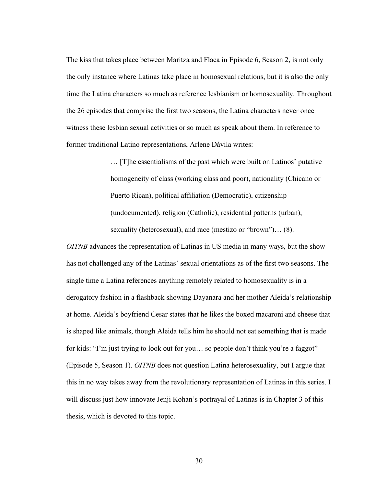The kiss that takes place between Maritza and Flaca in Episode 6, Season 2, is not only the only instance where Latinas take place in homosexual relations, but it is also the only time the Latina characters so much as reference lesbianism or homosexuality. Throughout the 26 episodes that comprise the first two seasons, the Latina characters never once witness these lesbian sexual activities or so much as speak about them. In reference to former traditional Latino representations, Arlene Dávila writes:

> … [T]he essentialisms of the past which were built on Latinos' putative homogeneity of class (working class and poor), nationality (Chicano or Puerto Rican), political affiliation (Democratic), citizenship (undocumented), religion (Catholic), residential patterns (urban), sexuality (heterosexual), and race (mestizo or "brown")… (8).

*OITNB* advances the representation of Latinas in US media in many ways, but the show has not challenged any of the Latinas' sexual orientations as of the first two seasons. The single time a Latina references anything remotely related to homosexuality is in a derogatory fashion in a flashback showing Dayanara and her mother Aleida's relationship at home. Aleida's boyfriend Cesar states that he likes the boxed macaroni and cheese that is shaped like animals, though Aleida tells him he should not eat something that is made for kids: "I'm just trying to look out for you… so people don't think you're a faggot" (Episode 5, Season 1). *OITNB* does not question Latina heterosexuality, but I argue that this in no way takes away from the revolutionary representation of Latinas in this series. I will discuss just how innovate Jenji Kohan's portrayal of Latinas is in Chapter 3 of this thesis, which is devoted to this topic.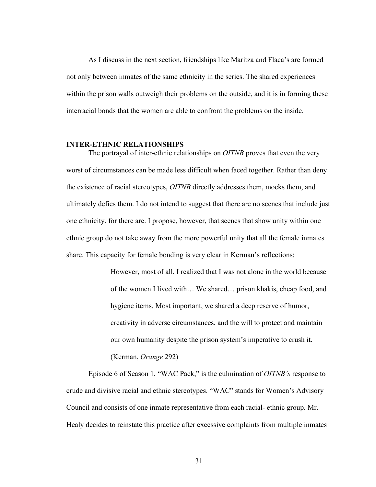As I discuss in the next section, friendships like Maritza and Flaca's are formed not only between inmates of the same ethnicity in the series. The shared experiences within the prison walls outweigh their problems on the outside, and it is in forming these interracial bonds that the women are able to confront the problems on the inside.

#### **INTER-ETHNIC RELATIONSHIPS**

The portrayal of inter-ethnic relationships on *OITNB* proves that even the very worst of circumstances can be made less difficult when faced together. Rather than deny the existence of racial stereotypes, *OITNB* directly addresses them, mocks them, and ultimately defies them. I do not intend to suggest that there are no scenes that include just one ethnicity, for there are. I propose, however, that scenes that show unity within one ethnic group do not take away from the more powerful unity that all the female inmates share. This capacity for female bonding is very clear in Kerman's reflections:

> However, most of all, I realized that I was not alone in the world because of the women I lived with… We shared… prison khakis, cheap food, and hygiene items. Most important, we shared a deep reserve of humor, creativity in adverse circumstances, and the will to protect and maintain our own humanity despite the prison system's imperative to crush it. (Kerman, *Orange* 292)

Episode 6 of Season 1, "WAC Pack," is the culmination of *OITNB's* response to crude and divisive racial and ethnic stereotypes. "WAC" stands for Women's Advisory Council and consists of one inmate representative from each racial- ethnic group. Mr. Healy decides to reinstate this practice after excessive complaints from multiple inmates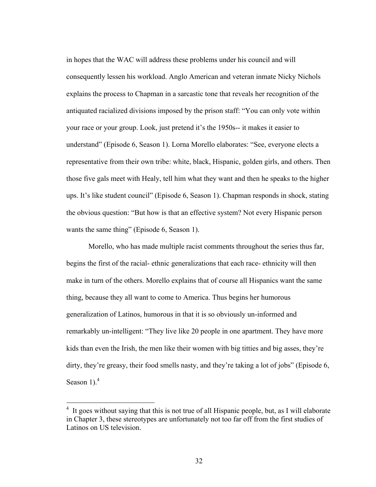in hopes that the WAC will address these problems under his council and will consequently lessen his workload. Anglo American and veteran inmate Nicky Nichols explains the process to Chapman in a sarcastic tone that reveals her recognition of the antiquated racialized divisions imposed by the prison staff: "You can only vote within your race or your group. Look, just pretend it's the 1950s-- it makes it easier to understand" (Episode 6, Season 1). Lorna Morello elaborates: "See, everyone elects a representative from their own tribe: white, black, Hispanic, golden girls, and others. Then those five gals meet with Healy, tell him what they want and then he speaks to the higher ups. It's like student council" (Episode 6, Season 1). Chapman responds in shock, stating the obvious question: "But how is that an effective system? Not every Hispanic person wants the same thing" (Episode 6, Season 1).

Morello, who has made multiple racist comments throughout the series thus far, begins the first of the racial- ethnic generalizations that each race- ethnicity will then make in turn of the others. Morello explains that of course all Hispanics want the same thing, because they all want to come to America. Thus begins her humorous generalization of Latinos, humorous in that it is so obviously un-informed and remarkably un-intelligent: "They live like 20 people in one apartment. They have more kids than even the Irish, the men like their women with big titties and big asses, they're dirty, they're greasy, their food smells nasty, and they're taking a lot of jobs" (Episode 6, Season 1 $)$ .<sup>4</sup>

 <sup>4</sup> It goes without saying that this is not true of all Hispanic people, but, as I will elaborate in Chapter 3, these stereotypes are unfortunately not too far off from the first studies of Latinos on US television.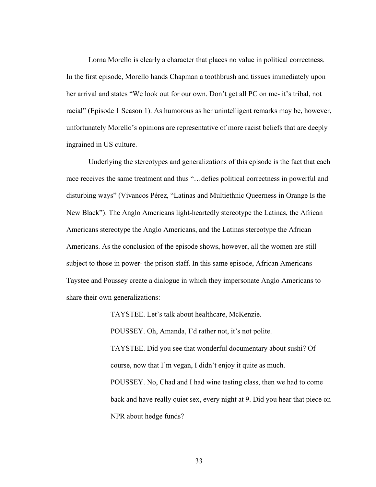Lorna Morello is clearly a character that places no value in political correctness. In the first episode, Morello hands Chapman a toothbrush and tissues immediately upon her arrival and states "We look out for our own. Don't get all PC on me- it's tribal, not racial" (Episode 1 Season 1). As humorous as her unintelligent remarks may be, however, unfortunately Morello's opinions are representative of more racist beliefs that are deeply ingrained in US culture.

Underlying the stereotypes and generalizations of this episode is the fact that each race receives the same treatment and thus "…defies political correctness in powerful and disturbing ways" (Vivancos Pérez, "Latinas and Multiethnic Queerness in Orange Is the New Black"). The Anglo Americans light-heartedly stereotype the Latinas, the African Americans stereotype the Anglo Americans, and the Latinas stereotype the African Americans. As the conclusion of the episode shows, however, all the women are still subject to those in power- the prison staff. In this same episode, African Americans Taystee and Poussey create a dialogue in which they impersonate Anglo Americans to share their own generalizations:

> TAYSTEE. Let's talk about healthcare, McKenzie. POUSSEY. Oh, Amanda, I'd rather not, it's not polite. TAYSTEE. Did you see that wonderful documentary about sushi? Of course, now that I'm vegan, I didn't enjoy it quite as much. POUSSEY. No, Chad and I had wine tasting class, then we had to come back and have really quiet sex, every night at 9. Did you hear that piece on NPR about hedge funds?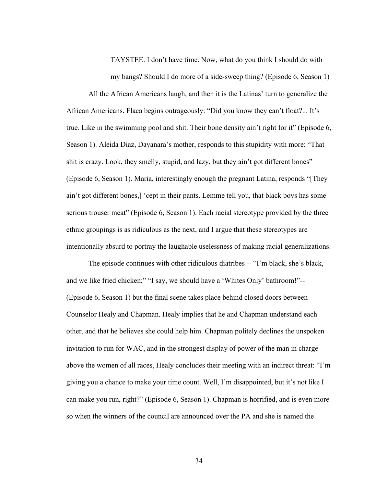TAYSTEE. I don't have time. Now, what do you think I should do with my bangs? Should I do more of a side-sweep thing? (Episode 6, Season 1)

All the African Americans laugh, and then it is the Latinas' turn to generalize the African Americans. Flaca begins outrageously: "Did you know they can't float?... It's true. Like in the swimming pool and shit. Their bone density ain't right for it" (Episode 6, Season 1). Aleida Diaz, Dayanara's mother, responds to this stupidity with more: "That shit is crazy. Look, they smelly, stupid, and lazy, but they ain't got different bones" (Episode 6, Season 1). Maria, interestingly enough the pregnant Latina, responds "[They ain't got different bones,] 'cept in their pants. Lemme tell you, that black boys has some serious trouser meat" (Episode 6, Season 1). Each racial stereotype provided by the three ethnic groupings is as ridiculous as the next, and I argue that these stereotypes are intentionally absurd to portray the laughable uselessness of making racial generalizations.

The episode continues with other ridiculous diatribes -- "I'm black, she's black, and we like fried chicken;" "I say, we should have a 'Whites Only' bathroom!"-- (Episode 6, Season 1) but the final scene takes place behind closed doors between Counselor Healy and Chapman. Healy implies that he and Chapman understand each other, and that he believes she could help him. Chapman politely declines the unspoken invitation to run for WAC, and in the strongest display of power of the man in charge above the women of all races, Healy concludes their meeting with an indirect threat: "I'm giving you a chance to make your time count. Well, I'm disappointed, but it's not like I can make you run, right?" (Episode 6, Season 1). Chapman is horrified, and is even more so when the winners of the council are announced over the PA and she is named the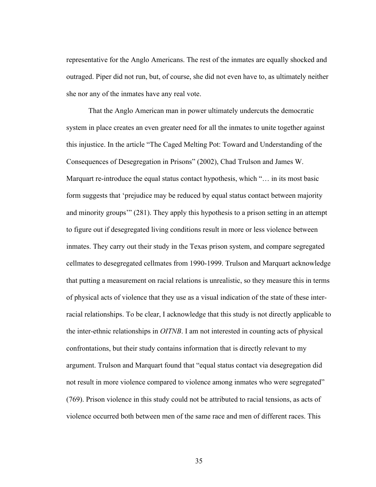representative for the Anglo Americans. The rest of the inmates are equally shocked and outraged. Piper did not run, but, of course, she did not even have to, as ultimately neither she nor any of the inmates have any real vote.

That the Anglo American man in power ultimately undercuts the democratic system in place creates an even greater need for all the inmates to unite together against this injustice. In the article "The Caged Melting Pot: Toward and Understanding of the Consequences of Desegregation in Prisons" (2002), Chad Trulson and James W. Marquart re-introduce the equal status contact hypothesis, which "… in its most basic form suggests that 'prejudice may be reduced by equal status contact between majority and minority groups'" (281). They apply this hypothesis to a prison setting in an attempt to figure out if desegregated living conditions result in more or less violence between inmates. They carry out their study in the Texas prison system, and compare segregated cellmates to desegregated cellmates from 1990-1999. Trulson and Marquart acknowledge that putting a measurement on racial relations is unrealistic, so they measure this in terms of physical acts of violence that they use as a visual indication of the state of these interracial relationships. To be clear, I acknowledge that this study is not directly applicable to the inter-ethnic relationships in *OITNB*. I am not interested in counting acts of physical confrontations, but their study contains information that is directly relevant to my argument. Trulson and Marquart found that "equal status contact via desegregation did not result in more violence compared to violence among inmates who were segregated" (769). Prison violence in this study could not be attributed to racial tensions, as acts of violence occurred both between men of the same race and men of different races. This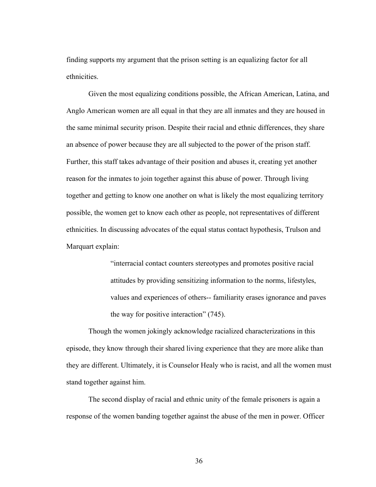finding supports my argument that the prison setting is an equalizing factor for all ethnicities.

Given the most equalizing conditions possible, the African American, Latina, and Anglo American women are all equal in that they are all inmates and they are housed in the same minimal security prison. Despite their racial and ethnic differences, they share an absence of power because they are all subjected to the power of the prison staff. Further, this staff takes advantage of their position and abuses it, creating yet another reason for the inmates to join together against this abuse of power. Through living together and getting to know one another on what is likely the most equalizing territory possible, the women get to know each other as people, not representatives of different ethnicities. In discussing advocates of the equal status contact hypothesis, Trulson and Marquart explain:

> "interracial contact counters stereotypes and promotes positive racial attitudes by providing sensitizing information to the norms, lifestyles, values and experiences of others-- familiarity erases ignorance and paves the way for positive interaction" (745).

Though the women jokingly acknowledge racialized characterizations in this episode, they know through their shared living experience that they are more alike than they are different. Ultimately, it is Counselor Healy who is racist, and all the women must stand together against him.

The second display of racial and ethnic unity of the female prisoners is again a response of the women banding together against the abuse of the men in power. Officer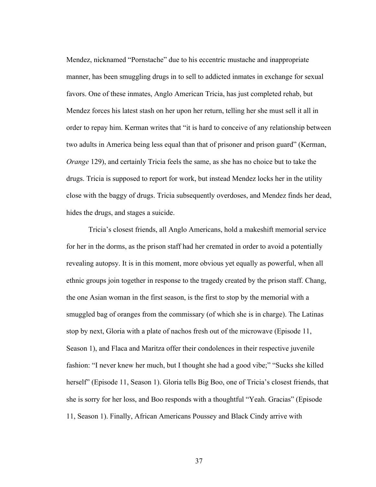Mendez, nicknamed "Pornstache" due to his eccentric mustache and inappropriate manner, has been smuggling drugs in to sell to addicted inmates in exchange for sexual favors. One of these inmates, Anglo American Tricia, has just completed rehab, but Mendez forces his latest stash on her upon her return, telling her she must sell it all in order to repay him. Kerman writes that "it is hard to conceive of any relationship between two adults in America being less equal than that of prisoner and prison guard" (Kerman, *Orange* 129), and certainly Tricia feels the same, as she has no choice but to take the drugs. Tricia is supposed to report for work, but instead Mendez locks her in the utility close with the baggy of drugs. Tricia subsequently overdoses, and Mendez finds her dead, hides the drugs, and stages a suicide.

Tricia's closest friends, all Anglo Americans, hold a makeshift memorial service for her in the dorms, as the prison staff had her cremated in order to avoid a potentially revealing autopsy. It is in this moment, more obvious yet equally as powerful, when all ethnic groups join together in response to the tragedy created by the prison staff. Chang, the one Asian woman in the first season, is the first to stop by the memorial with a smuggled bag of oranges from the commissary (of which she is in charge). The Latinas stop by next, Gloria with a plate of nachos fresh out of the microwave (Episode 11, Season 1), and Flaca and Maritza offer their condolences in their respective juvenile fashion: "I never knew her much, but I thought she had a good vibe;" "Sucks she killed herself" (Episode 11, Season 1). Gloria tells Big Boo, one of Tricia's closest friends, that she is sorry for her loss, and Boo responds with a thoughtful "Yeah. Gracias" (Episode 11, Season 1). Finally, African Americans Poussey and Black Cindy arrive with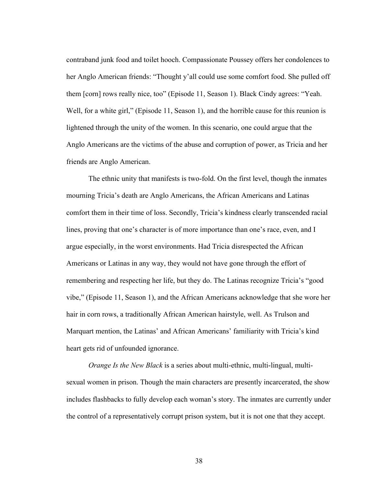contraband junk food and toilet hooch. Compassionate Poussey offers her condolences to her Anglo American friends: "Thought y'all could use some comfort food. She pulled off them [corn] rows really nice, too" (Episode 11, Season 1). Black Cindy agrees: "Yeah. Well, for a white girl," (Episode 11, Season 1), and the horrible cause for this reunion is lightened through the unity of the women. In this scenario, one could argue that the Anglo Americans are the victims of the abuse and corruption of power, as Tricia and her friends are Anglo American.

The ethnic unity that manifests is two-fold. On the first level, though the inmates mourning Tricia's death are Anglo Americans, the African Americans and Latinas comfort them in their time of loss. Secondly, Tricia's kindness clearly transcended racial lines, proving that one's character is of more importance than one's race, even, and I argue especially, in the worst environments. Had Tricia disrespected the African Americans or Latinas in any way, they would not have gone through the effort of remembering and respecting her life, but they do. The Latinas recognize Tricia's "good vibe," (Episode 11, Season 1), and the African Americans acknowledge that she wore her hair in corn rows, a traditionally African American hairstyle, well. As Trulson and Marquart mention, the Latinas' and African Americans' familiarity with Tricia's kind heart gets rid of unfounded ignorance.

*Orange Is the New Black* is a series about multi-ethnic, multi-lingual, multisexual women in prison. Though the main characters are presently incarcerated, the show includes flashbacks to fully develop each woman's story. The inmates are currently under the control of a representatively corrupt prison system, but it is not one that they accept.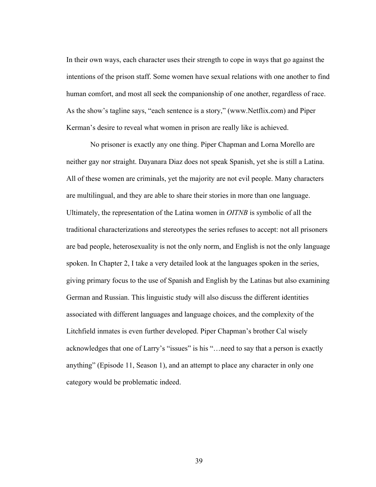In their own ways, each character uses their strength to cope in ways that go against the intentions of the prison staff. Some women have sexual relations with one another to find human comfort, and most all seek the companionship of one another, regardless of race. As the show's tagline says, "each sentence is a story," (www.Netflix.com) and Piper Kerman's desire to reveal what women in prison are really like is achieved.

 No prisoner is exactly any one thing. Piper Chapman and Lorna Morello are neither gay nor straight. Dayanara Diaz does not speak Spanish, yet she is still a Latina. All of these women are criminals, yet the majority are not evil people. Many characters are multilingual, and they are able to share their stories in more than one language. Ultimately, the representation of the Latina women in *OITNB* is symbolic of all the traditional characterizations and stereotypes the series refuses to accept: not all prisoners are bad people, heterosexuality is not the only norm, and English is not the only language spoken. In Chapter 2, I take a very detailed look at the languages spoken in the series, giving primary focus to the use of Spanish and English by the Latinas but also examining German and Russian. This linguistic study will also discuss the different identities associated with different languages and language choices, and the complexity of the Litchfield inmates is even further developed. Piper Chapman's brother Cal wisely acknowledges that one of Larry's "issues" is his "…need to say that a person is exactly anything" (Episode 11, Season 1), and an attempt to place any character in only one category would be problematic indeed.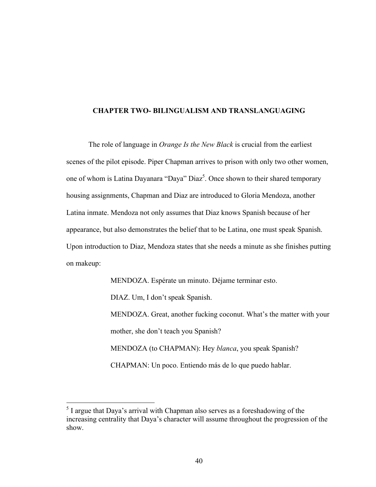#### **CHAPTER TWO- BILINGUALISM AND TRANSLANGUAGING**

The role of language in *Orange Is the New Black* is crucial from the earliest scenes of the pilot episode. Piper Chapman arrives to prison with only two other women, one of whom is Latina Dayanara "Daya" Diaz<sup>5</sup>. Once shown to their shared temporary housing assignments, Chapman and Diaz are introduced to Gloria Mendoza, another Latina inmate. Mendoza not only assumes that Diaz knows Spanish because of her appearance, but also demonstrates the belief that to be Latina, one must speak Spanish. Upon introduction to Diaz, Mendoza states that she needs a minute as she finishes putting on makeup:

> MENDOZA. Espérate un minuto. Déjame terminar esto. DIAZ. Um, I don't speak Spanish. MENDOZA. Great, another fucking coconut. What's the matter with your mother, she don't teach you Spanish? MENDOZA (to CHAPMAN): Hey *blanca*, you speak Spanish? CHAPMAN: Un poco. Entiendo más de lo que puedo hablar.

<sup>&</sup>lt;sup>5</sup> I argue that Daya's arrival with Chapman also serves as a foreshadowing of the increasing centrality that Daya's character will assume throughout the progression of the show.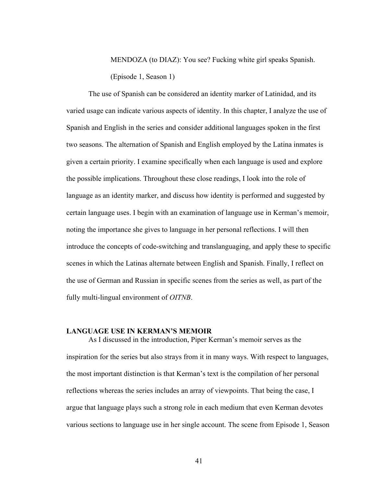MENDOZA (to DIAZ): You see? Fucking white girl speaks Spanish. (Episode 1, Season 1)

The use of Spanish can be considered an identity marker of Latinidad, and its varied usage can indicate various aspects of identity. In this chapter, I analyze the use of Spanish and English in the series and consider additional languages spoken in the first two seasons. The alternation of Spanish and English employed by the Latina inmates is given a certain priority. I examine specifically when each language is used and explore the possible implications. Throughout these close readings, I look into the role of language as an identity marker, and discuss how identity is performed and suggested by certain language uses. I begin with an examination of language use in Kerman's memoir, noting the importance she gives to language in her personal reflections. I will then introduce the concepts of code-switching and translanguaging, and apply these to specific scenes in which the Latinas alternate between English and Spanish. Finally, I reflect on the use of German and Russian in specific scenes from the series as well, as part of the fully multi-lingual environment of *OITNB*.

#### **LANGUAGE USE IN KERMAN'S MEMOIR**

As I discussed in the introduction, Piper Kerman's memoir serves as the inspiration for the series but also strays from it in many ways. With respect to languages, the most important distinction is that Kerman's text is the compilation of her personal reflections whereas the series includes an array of viewpoints. That being the case, I argue that language plays such a strong role in each medium that even Kerman devotes various sections to language use in her single account. The scene from Episode 1, Season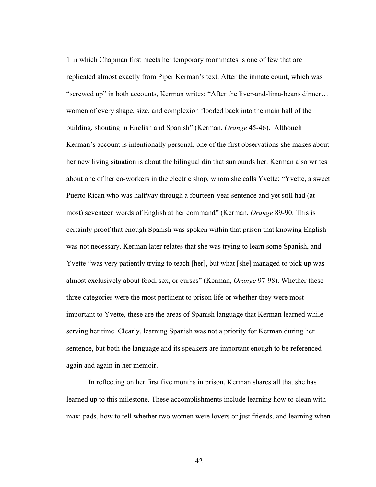1 in which Chapman first meets her temporary roommates is one of few that are replicated almost exactly from Piper Kerman's text. After the inmate count, which was "screwed up" in both accounts, Kerman writes: "After the liver-and-lima-beans dinner… women of every shape, size, and complexion flooded back into the main hall of the building, shouting in English and Spanish" (Kerman, *Orange* 45-46). Although Kerman's account is intentionally personal, one of the first observations she makes about her new living situation is about the bilingual din that surrounds her. Kerman also writes about one of her co-workers in the electric shop, whom she calls Yvette: "Yvette, a sweet Puerto Rican who was halfway through a fourteen-year sentence and yet still had (at most) seventeen words of English at her command" (Kerman, *Orange* 89-90. This is certainly proof that enough Spanish was spoken within that prison that knowing English was not necessary. Kerman later relates that she was trying to learn some Spanish, and Yvette "was very patiently trying to teach [her], but what [she] managed to pick up was almost exclusively about food, sex, or curses" (Kerman, *Orange* 97-98). Whether these three categories were the most pertinent to prison life or whether they were most important to Yvette, these are the areas of Spanish language that Kerman learned while serving her time. Clearly, learning Spanish was not a priority for Kerman during her sentence, but both the language and its speakers are important enough to be referenced again and again in her memoir.

In reflecting on her first five months in prison, Kerman shares all that she has learned up to this milestone. These accomplishments include learning how to clean with maxi pads, how to tell whether two women were lovers or just friends, and learning when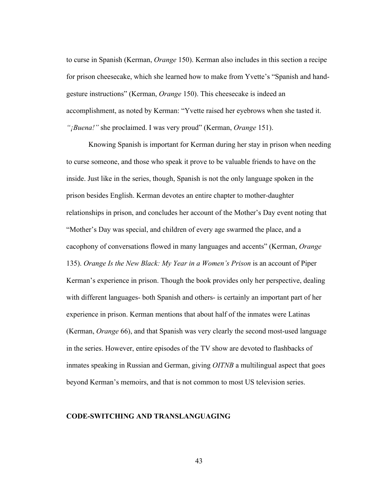to curse in Spanish (Kerman, *Orange* 150). Kerman also includes in this section a recipe for prison cheesecake, which she learned how to make from Yvette's "Spanish and handgesture instructions" (Kerman, *Orange* 150). This cheesecake is indeed an accomplishment, as noted by Kerman: "Yvette raised her eyebrows when she tasted it. *"¡Buena!"* she proclaimed. I was very proud" (Kerman, *Orange* 151).

Knowing Spanish is important for Kerman during her stay in prison when needing to curse someone, and those who speak it prove to be valuable friends to have on the inside. Just like in the series, though, Spanish is not the only language spoken in the prison besides English. Kerman devotes an entire chapter to mother-daughter relationships in prison, and concludes her account of the Mother's Day event noting that "Mother's Day was special, and children of every age swarmed the place, and a cacophony of conversations flowed in many languages and accents" (Kerman, *Orange* 135). *Orange Is the New Black: My Year in a Women's Prison* is an account of Piper Kerman's experience in prison. Though the book provides only her perspective, dealing with different languages- both Spanish and others- is certainly an important part of her experience in prison. Kerman mentions that about half of the inmates were Latinas (Kerman, *Orange* 66), and that Spanish was very clearly the second most-used language in the series. However, entire episodes of the TV show are devoted to flashbacks of inmates speaking in Russian and German, giving *OITNB* a multilingual aspect that goes beyond Kerman's memoirs, and that is not common to most US television series.

### **CODE-SWITCHING AND TRANSLANGUAGING**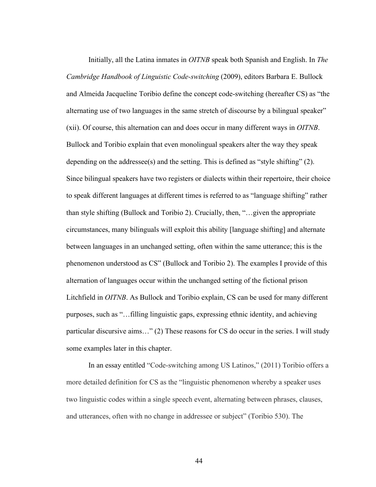Initially, all the Latina inmates in *OITNB* speak both Spanish and English. In *The Cambridge Handbook of Linguistic Code-switching* (2009), editors Barbara E. Bullock and Almeida Jacqueline Toribio define the concept code-switching (hereafter CS) as "the alternating use of two languages in the same stretch of discourse by a bilingual speaker" (xii). Of course, this alternation can and does occur in many different ways in *OITNB*. Bullock and Toribio explain that even monolingual speakers alter the way they speak depending on the addressee(s) and the setting. This is defined as "style shifting" (2). Since bilingual speakers have two registers or dialects within their repertoire, their choice to speak different languages at different times is referred to as "language shifting" rather than style shifting (Bullock and Toribio 2). Crucially, then, "…given the appropriate circumstances, many bilinguals will exploit this ability [language shifting] and alternate between languages in an unchanged setting, often within the same utterance; this is the phenomenon understood as CS" (Bullock and Toribio 2). The examples I provide of this alternation of languages occur within the unchanged setting of the fictional prison Litchfield in *OITNB*. As Bullock and Toribio explain, CS can be used for many different purposes, such as "…filling linguistic gaps, expressing ethnic identity, and achieving particular discursive aims…" (2) These reasons for CS do occur in the series. I will study some examples later in this chapter.

In an essay entitled "Code-switching among US Latinos," (2011) Toribio offers a more detailed definition for CS as the "linguistic phenomenon whereby a speaker uses two linguistic codes within a single speech event, alternating between phrases, clauses, and utterances, often with no change in addressee or subject" (Toribio 530). The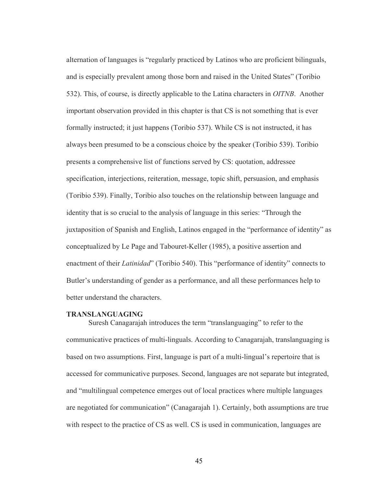alternation of languages is "regularly practiced by Latinos who are proficient bilinguals, and is especially prevalent among those born and raised in the United States" (Toribio 532). This, of course, is directly applicable to the Latina characters in *OITNB*. Another important observation provided in this chapter is that CS is not something that is ever formally instructed; it just happens (Toribio 537). While CS is not instructed, it has always been presumed to be a conscious choice by the speaker (Toribio 539). Toribio presents a comprehensive list of functions served by CS: quotation, addressee specification, interjections, reiteration, message, topic shift, persuasion, and emphasis (Toribio 539). Finally, Toribio also touches on the relationship between language and identity that is so crucial to the analysis of language in this series: "Through the juxtaposition of Spanish and English, Latinos engaged in the "performance of identity" as conceptualized by Le Page and Tabouret-Keller (1985), a positive assertion and enactment of their *Latinidad*" (Toribio 540). This "performance of identity" connects to Butler's understanding of gender as a performance, and all these performances help to better understand the characters.

#### **TRANSLANGUAGING**

Suresh Canagarajah introduces the term "translanguaging" to refer to the communicative practices of multi-linguals. According to Canagarajah, translanguaging is based on two assumptions. First, language is part of a multi-lingual's repertoire that is accessed for communicative purposes. Second, languages are not separate but integrated, and "multilingual competence emerges out of local practices where multiple languages are negotiated for communication" (Canagarajah 1). Certainly, both assumptions are true with respect to the practice of CS as well. CS is used in communication, languages are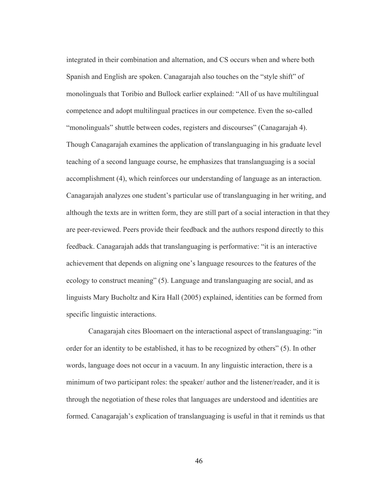integrated in their combination and alternation, and CS occurs when and where both Spanish and English are spoken. Canagarajah also touches on the "style shift" of monolinguals that Toribio and Bullock earlier explained: "All of us have multilingual competence and adopt multilingual practices in our competence. Even the so-called "monolinguals" shuttle between codes, registers and discourses" (Canagarajah 4). Though Canagarajah examines the application of translanguaging in his graduate level teaching of a second language course, he emphasizes that translanguaging is a social accomplishment (4), which reinforces our understanding of language as an interaction. Canagarajah analyzes one student's particular use of translanguaging in her writing, and although the texts are in written form, they are still part of a social interaction in that they are peer-reviewed. Peers provide their feedback and the authors respond directly to this feedback. Canagarajah adds that translanguaging is performative: "it is an interactive achievement that depends on aligning one's language resources to the features of the ecology to construct meaning" (5). Language and translanguaging are social, and as linguists Mary Bucholtz and Kira Hall (2005) explained, identities can be formed from specific linguistic interactions.

Canagarajah cites Bloomaert on the interactional aspect of translanguaging: "in order for an identity to be established, it has to be recognized by others" (5). In other words, language does not occur in a vacuum. In any linguistic interaction, there is a minimum of two participant roles: the speaker/ author and the listener/reader, and it is through the negotiation of these roles that languages are understood and identities are formed. Canagarajah's explication of translanguaging is useful in that it reminds us that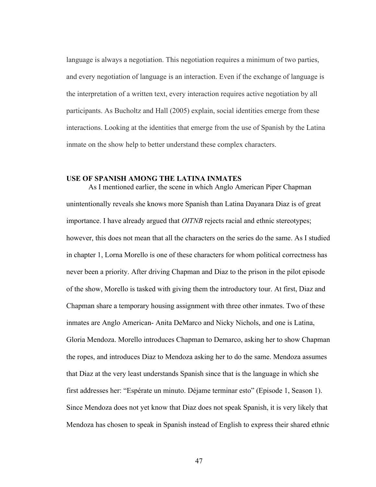language is always a negotiation. This negotiation requires a minimum of two parties, and every negotiation of language is an interaction. Even if the exchange of language is the interpretation of a written text, every interaction requires active negotiation by all participants. As Bucholtz and Hall (2005) explain, social identities emerge from these interactions. Looking at the identities that emerge from the use of Spanish by the Latina inmate on the show help to better understand these complex characters.

## **USE OF SPANISH AMONG THE LATINA INMATES**

As I mentioned earlier, the scene in which Anglo American Piper Chapman unintentionally reveals she knows more Spanish than Latina Dayanara Diaz is of great importance. I have already argued that *OITNB* rejects racial and ethnic stereotypes; however, this does not mean that all the characters on the series do the same. As I studied in chapter 1, Lorna Morello is one of these characters for whom political correctness has never been a priority. After driving Chapman and Diaz to the prison in the pilot episode of the show, Morello is tasked with giving them the introductory tour. At first, Diaz and Chapman share a temporary housing assignment with three other inmates. Two of these inmates are Anglo American- Anita DeMarco and Nicky Nichols, and one is Latina, Gloria Mendoza. Morello introduces Chapman to Demarco, asking her to show Chapman the ropes, and introduces Diaz to Mendoza asking her to do the same. Mendoza assumes that Diaz at the very least understands Spanish since that is the language in which she first addresses her: "Espérate un minuto. Déjame terminar esto" (Episode 1, Season 1). Since Mendoza does not yet know that Diaz does not speak Spanish, it is very likely that Mendoza has chosen to speak in Spanish instead of English to express their shared ethnic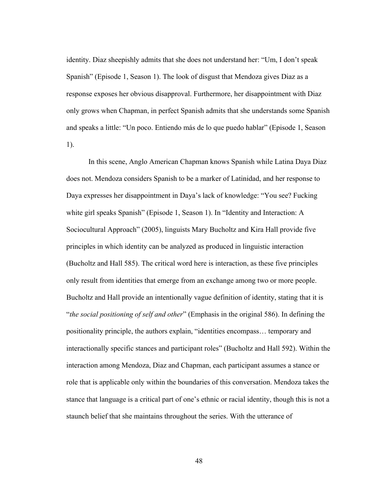identity. Diaz sheepishly admits that she does not understand her: "Um, I don't speak Spanish" (Episode 1, Season 1). The look of disgust that Mendoza gives Diaz as a response exposes her obvious disapproval. Furthermore, her disappointment with Diaz only grows when Chapman, in perfect Spanish admits that she understands some Spanish and speaks a little: "Un poco. Entiendo más de lo que puedo hablar" (Episode 1, Season 1).

In this scene, Anglo American Chapman knows Spanish while Latina Daya Diaz does not. Mendoza considers Spanish to be a marker of Latinidad, and her response to Daya expresses her disappointment in Daya's lack of knowledge: "You see? Fucking white girl speaks Spanish" (Episode 1, Season 1). In "Identity and Interaction: A Sociocultural Approach" (2005), linguists Mary Bucholtz and Kira Hall provide five principles in which identity can be analyzed as produced in linguistic interaction (Bucholtz and Hall 585). The critical word here is interaction, as these five principles only result from identities that emerge from an exchange among two or more people. Bucholtz and Hall provide an intentionally vague definition of identity, stating that it is "*the social positioning of self and other*" (Emphasis in the original 586). In defining the positionality principle, the authors explain, "identities encompass… temporary and interactionally specific stances and participant roles" (Bucholtz and Hall 592). Within the interaction among Mendoza, Diaz and Chapman, each participant assumes a stance or role that is applicable only within the boundaries of this conversation. Mendoza takes the stance that language is a critical part of one's ethnic or racial identity, though this is not a staunch belief that she maintains throughout the series. With the utterance of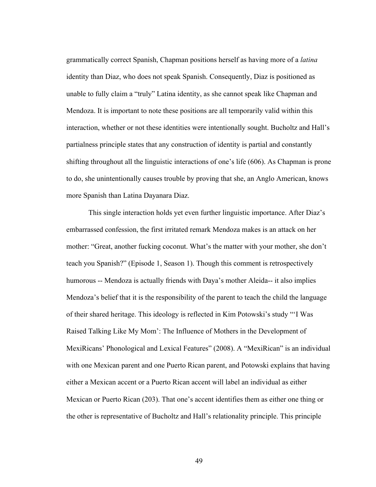grammatically correct Spanish, Chapman positions herself as having more of a *latina* identity than Diaz, who does not speak Spanish. Consequently, Diaz is positioned as unable to fully claim a "truly" Latina identity, as she cannot speak like Chapman and Mendoza. It is important to note these positions are all temporarily valid within this interaction, whether or not these identities were intentionally sought. Bucholtz and Hall's partialness principle states that any construction of identity is partial and constantly shifting throughout all the linguistic interactions of one's life (606). As Chapman is prone to do, she unintentionally causes trouble by proving that she, an Anglo American, knows more Spanish than Latina Dayanara Diaz.

This single interaction holds yet even further linguistic importance. After Diaz's embarrassed confession, the first irritated remark Mendoza makes is an attack on her mother: "Great, another fucking coconut. What's the matter with your mother, she don't teach you Spanish?" (Episode 1, Season 1). Though this comment is retrospectively humorous -- Mendoza is actually friends with Daya's mother Aleida-- it also implies Mendoza's belief that it is the responsibility of the parent to teach the child the language of their shared heritage. This ideology is reflected in Kim Potowski's study "'I Was Raised Talking Like My Mom': The Influence of Mothers in the Development of MexiRicans' Phonological and Lexical Features" (2008). A "MexiRican" is an individual with one Mexican parent and one Puerto Rican parent, and Potowski explains that having either a Mexican accent or a Puerto Rican accent will label an individual as either Mexican or Puerto Rican (203). That one's accent identifies them as either one thing or the other is representative of Bucholtz and Hall's relationality principle. This principle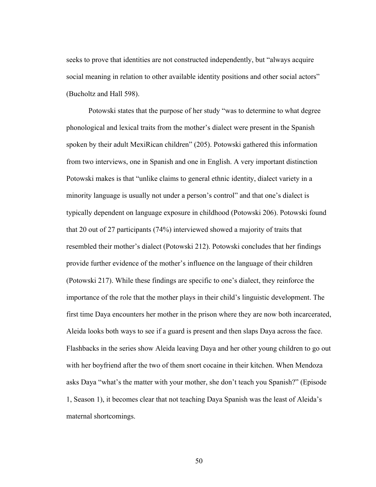seeks to prove that identities are not constructed independently, but "always acquire social meaning in relation to other available identity positions and other social actors" (Bucholtz and Hall 598).

Potowski states that the purpose of her study "was to determine to what degree phonological and lexical traits from the mother's dialect were present in the Spanish spoken by their adult MexiRican children" (205). Potowski gathered this information from two interviews, one in Spanish and one in English. A very important distinction Potowski makes is that "unlike claims to general ethnic identity, dialect variety in a minority language is usually not under a person's control" and that one's dialect is typically dependent on language exposure in childhood (Potowski 206). Potowski found that 20 out of 27 participants (74%) interviewed showed a majority of traits that resembled their mother's dialect (Potowski 212). Potowski concludes that her findings provide further evidence of the mother's influence on the language of their children (Potowski 217). While these findings are specific to one's dialect, they reinforce the importance of the role that the mother plays in their child's linguistic development. The first time Daya encounters her mother in the prison where they are now both incarcerated, Aleida looks both ways to see if a guard is present and then slaps Daya across the face. Flashbacks in the series show Aleida leaving Daya and her other young children to go out with her boyfriend after the two of them snort cocaine in their kitchen. When Mendoza asks Daya "what's the matter with your mother, she don't teach you Spanish?" (Episode 1, Season 1), it becomes clear that not teaching Daya Spanish was the least of Aleida's maternal shortcomings.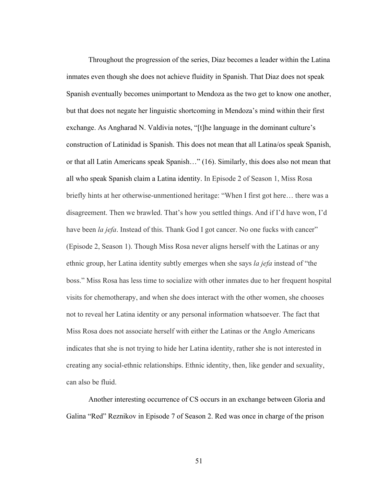Throughout the progression of the series, Diaz becomes a leader within the Latina inmates even though she does not achieve fluidity in Spanish. That Diaz does not speak Spanish eventually becomes unimportant to Mendoza as the two get to know one another, but that does not negate her linguistic shortcoming in Mendoza's mind within their first exchange. As Angharad N. Valdivia notes, "[t]he language in the dominant culture's construction of Latinidad is Spanish. This does not mean that all Latina/os speak Spanish, or that all Latin Americans speak Spanish…" (16). Similarly, this does also not mean that all who speak Spanish claim a Latina identity. In Episode 2 of Season 1, Miss Rosa briefly hints at her otherwise-unmentioned heritage: "When I first got here… there was a disagreement. Then we brawled. That's how you settled things. And if I'd have won, I'd have been *la jefa*. Instead of this. Thank God I got cancer. No one fucks with cancer" (Episode 2, Season 1). Though Miss Rosa never aligns herself with the Latinas or any ethnic group, her Latina identity subtly emerges when she says *la jefa* instead of "the boss." Miss Rosa has less time to socialize with other inmates due to her frequent hospital visits for chemotherapy, and when she does interact with the other women, she chooses not to reveal her Latina identity or any personal information whatsoever. The fact that Miss Rosa does not associate herself with either the Latinas or the Anglo Americans indicates that she is not trying to hide her Latina identity, rather she is not interested in creating any social-ethnic relationships. Ethnic identity, then, like gender and sexuality, can also be fluid.

Another interesting occurrence of CS occurs in an exchange between Gloria and Galina "Red" Reznikov in Episode 7 of Season 2. Red was once in charge of the prison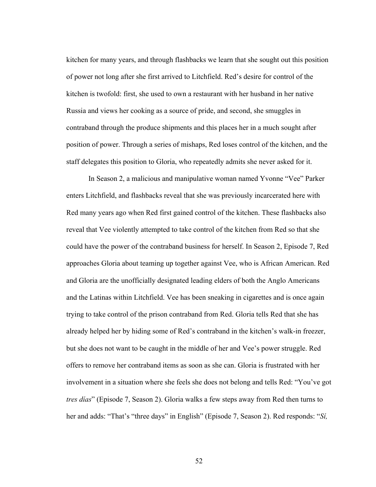kitchen for many years, and through flashbacks we learn that she sought out this position of power not long after she first arrived to Litchfield. Red's desire for control of the kitchen is twofold: first, she used to own a restaurant with her husband in her native Russia and views her cooking as a source of pride, and second, she smuggles in contraband through the produce shipments and this places her in a much sought after position of power. Through a series of mishaps, Red loses control of the kitchen, and the staff delegates this position to Gloria, who repeatedly admits she never asked for it.

In Season 2, a malicious and manipulative woman named Yvonne "Vee" Parker enters Litchfield, and flashbacks reveal that she was previously incarcerated here with Red many years ago when Red first gained control of the kitchen. These flashbacks also reveal that Vee violently attempted to take control of the kitchen from Red so that she could have the power of the contraband business for herself. In Season 2, Episode 7, Red approaches Gloria about teaming up together against Vee, who is African American. Red and Gloria are the unofficially designated leading elders of both the Anglo Americans and the Latinas within Litchfield. Vee has been sneaking in cigarettes and is once again trying to take control of the prison contraband from Red. Gloria tells Red that she has already helped her by hiding some of Red's contraband in the kitchen's walk-in freezer, but she does not want to be caught in the middle of her and Vee's power struggle. Red offers to remove her contraband items as soon as she can. Gloria is frustrated with her involvement in a situation where she feels she does not belong and tells Red: "You've got *tres días*" (Episode 7, Season 2). Gloria walks a few steps away from Red then turns to her and adds: "That's "three days" in English" (Episode 7, Season 2). Red responds: "*Sí,*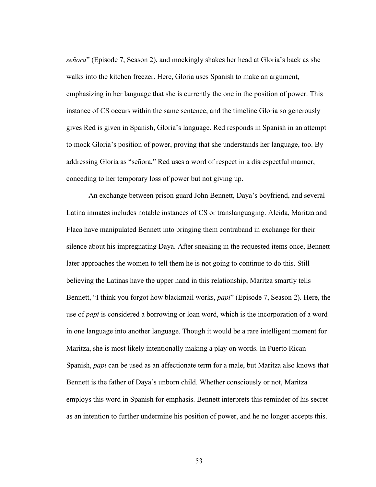*señora*" (Episode 7, Season 2), and mockingly shakes her head at Gloria's back as she walks into the kitchen freezer. Here, Gloria uses Spanish to make an argument, emphasizing in her language that she is currently the one in the position of power. This instance of CS occurs within the same sentence, and the timeline Gloria so generously gives Red is given in Spanish, Gloria's language. Red responds in Spanish in an attempt to mock Gloria's position of power, proving that she understands her language, too. By addressing Gloria as "señora," Red uses a word of respect in a disrespectful manner, conceding to her temporary loss of power but not giving up.

An exchange between prison guard John Bennett, Daya's boyfriend, and several Latina inmates includes notable instances of CS or translanguaging. Aleida, Maritza and Flaca have manipulated Bennett into bringing them contraband in exchange for their silence about his impregnating Daya. After sneaking in the requested items once, Bennett later approaches the women to tell them he is not going to continue to do this. Still believing the Latinas have the upper hand in this relationship, Maritza smartly tells Bennett, "I think you forgot how blackmail works, *papi*" (Episode 7, Season 2). Here, the use of *papi* is considered a borrowing or loan word, which is the incorporation of a word in one language into another language. Though it would be a rare intelligent moment for Maritza, she is most likely intentionally making a play on words. In Puerto Rican Spanish, *papi* can be used as an affectionate term for a male, but Maritza also knows that Bennett is the father of Daya's unborn child. Whether consciously or not, Maritza employs this word in Spanish for emphasis. Bennett interprets this reminder of his secret as an intention to further undermine his position of power, and he no longer accepts this.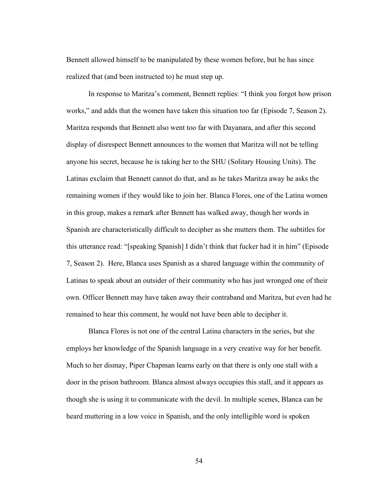Bennett allowed himself to be manipulated by these women before, but he has since realized that (and been instructed to) he must step up.

In response to Maritza's comment, Bennett replies: "I think you forgot how prison works," and adds that the women have taken this situation too far (Episode 7, Season 2). Maritza responds that Bennett also went too far with Dayanara, and after this second display of disrespect Bennett announces to the women that Maritza will not be telling anyone his secret, because he is taking her to the SHU (Solitary Housing Units). The Latinas exclaim that Bennett cannot do that, and as he takes Maritza away he asks the remaining women if they would like to join her. Blanca Flores, one of the Latina women in this group, makes a remark after Bennett has walked away, though her words in Spanish are characteristically difficult to decipher as she mutters them. The subtitles for this utterance read: "[speaking Spanish] I didn't think that fucker had it in him" (Episode 7, Season 2). Here, Blanca uses Spanish as a shared language within the community of Latinas to speak about an outsider of their community who has just wronged one of their own. Officer Bennett may have taken away their contraband and Maritza, but even had he remained to hear this comment, he would not have been able to decipher it.

Blanca Flores is not one of the central Latina characters in the series, but she employs her knowledge of the Spanish language in a very creative way for her benefit. Much to her dismay, Piper Chapman learns early on that there is only one stall with a door in the prison bathroom. Blanca almost always occupies this stall, and it appears as though she is using it to communicate with the devil. In multiple scenes, Blanca can be heard muttering in a low voice in Spanish, and the only intelligible word is spoken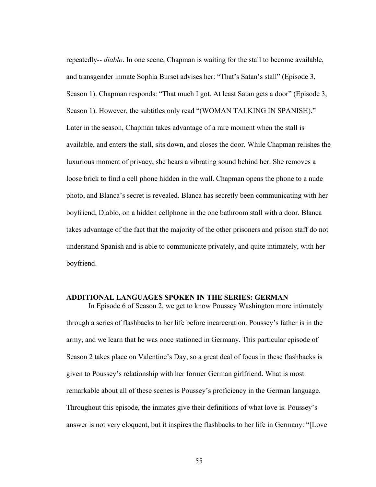repeatedly-- *diablo*. In one scene, Chapman is waiting for the stall to become available, and transgender inmate Sophia Burset advises her: "That's Satan's stall" (Episode 3, Season 1). Chapman responds: "That much I got. At least Satan gets a door" (Episode 3, Season 1). However, the subtitles only read "(WOMAN TALKING IN SPANISH)." Later in the season, Chapman takes advantage of a rare moment when the stall is available, and enters the stall, sits down, and closes the door. While Chapman relishes the luxurious moment of privacy, she hears a vibrating sound behind her. She removes a loose brick to find a cell phone hidden in the wall. Chapman opens the phone to a nude photo, and Blanca's secret is revealed. Blanca has secretly been communicating with her boyfriend, Diablo, on a hidden cellphone in the one bathroom stall with a door. Blanca takes advantage of the fact that the majority of the other prisoners and prison staff do not understand Spanish and is able to communicate privately, and quite intimately, with her boyfriend.

# **ADDITIONAL LANGUAGES SPOKEN IN THE SERIES: GERMAN**

In Episode 6 of Season 2, we get to know Poussey Washington more intimately through a series of flashbacks to her life before incarceration. Poussey's father is in the army, and we learn that he was once stationed in Germany. This particular episode of Season 2 takes place on Valentine's Day, so a great deal of focus in these flashbacks is given to Poussey's relationship with her former German girlfriend. What is most remarkable about all of these scenes is Poussey's proficiency in the German language. Throughout this episode, the inmates give their definitions of what love is. Poussey's answer is not very eloquent, but it inspires the flashbacks to her life in Germany: "[Love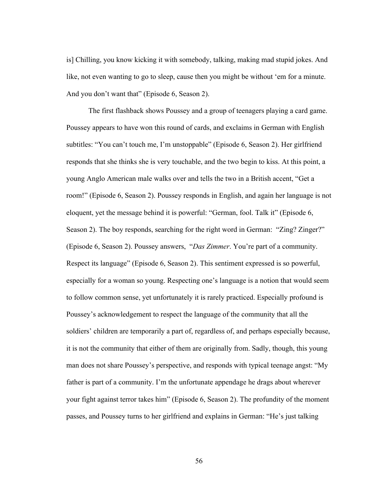is] Chilling, you know kicking it with somebody, talking, making mad stupid jokes. And like, not even wanting to go to sleep, cause then you might be without 'em for a minute. And you don't want that" (Episode 6, Season 2).

The first flashback shows Poussey and a group of teenagers playing a card game. Poussey appears to have won this round of cards, and exclaims in German with English subtitles: "You can't touch me, I'm unstoppable" (Episode 6, Season 2). Her girlfriend responds that she thinks she is very touchable, and the two begin to kiss. At this point, a young Anglo American male walks over and tells the two in a British accent, "Get a room!" (Episode 6, Season 2). Poussey responds in English, and again her language is not eloquent, yet the message behind it is powerful: "German, fool. Talk it" (Episode 6, Season 2). The boy responds, searching for the right word in German: "Zing? Zinger?" (Episode 6, Season 2). Poussey answers, "*Das Zimmer*. You're part of a community. Respect its language" (Episode 6, Season 2). This sentiment expressed is so powerful, especially for a woman so young. Respecting one's language is a notion that would seem to follow common sense, yet unfortunately it is rarely practiced. Especially profound is Poussey's acknowledgement to respect the language of the community that all the soldiers' children are temporarily a part of, regardless of, and perhaps especially because, it is not the community that either of them are originally from. Sadly, though, this young man does not share Poussey's perspective, and responds with typical teenage angst: "My father is part of a community. I'm the unfortunate appendage he drags about wherever your fight against terror takes him" (Episode 6, Season 2). The profundity of the moment passes, and Poussey turns to her girlfriend and explains in German: "He's just talking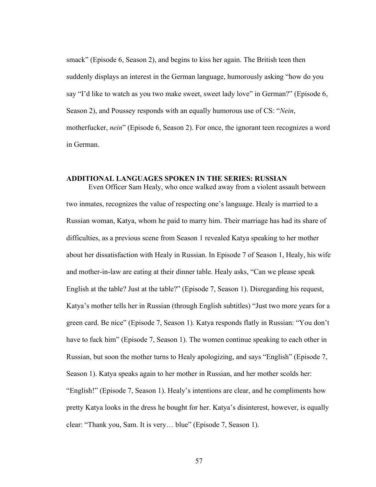smack" (Episode 6, Season 2), and begins to kiss her again. The British teen then suddenly displays an interest in the German language, humorously asking "how do you say "I'd like to watch as you two make sweet, sweet lady love" in German?" (Episode 6, Season 2), and Poussey responds with an equally humorous use of CS: "*Nein*, motherfucker, *nein*" (Episode 6, Season 2). For once, the ignorant teen recognizes a word in German.

### **ADDITIONAL LANGUAGES SPOKEN IN THE SERIES: RUSSIAN**

Even Officer Sam Healy, who once walked away from a violent assault between two inmates, recognizes the value of respecting one's language. Healy is married to a Russian woman, Katya, whom he paid to marry him. Their marriage has had its share of difficulties, as a previous scene from Season 1 revealed Katya speaking to her mother about her dissatisfaction with Healy in Russian. In Episode 7 of Season 1, Healy, his wife and mother-in-law are eating at their dinner table. Healy asks, "Can we please speak English at the table? Just at the table?" (Episode 7, Season 1). Disregarding his request, Katya's mother tells her in Russian (through English subtitles) "Just two more years for a green card. Be nice" (Episode 7, Season 1). Katya responds flatly in Russian: "You don't have to fuck him" (Episode 7, Season 1). The women continue speaking to each other in Russian, but soon the mother turns to Healy apologizing, and says "English" (Episode 7, Season 1). Katya speaks again to her mother in Russian, and her mother scolds her: "English!" (Episode 7, Season 1). Healy's intentions are clear, and he compliments how pretty Katya looks in the dress he bought for her. Katya's disinterest, however, is equally clear: "Thank you, Sam. It is very… blue" (Episode 7, Season 1).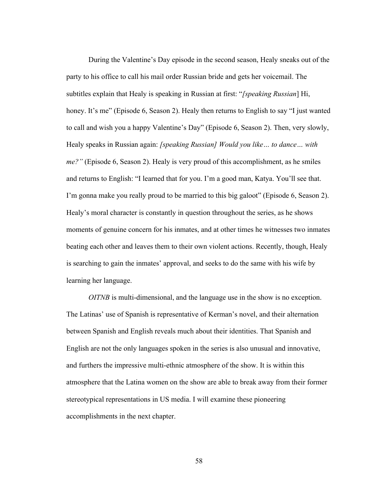During the Valentine's Day episode in the second season, Healy sneaks out of the party to his office to call his mail order Russian bride and gets her voicemail. The subtitles explain that Healy is speaking in Russian at first: "*[speaking Russian*] Hi, honey. It's me" (Episode 6, Season 2). Healy then returns to English to say "I just wanted to call and wish you a happy Valentine's Day" (Episode 6, Season 2). Then, very slowly, Healy speaks in Russian again: *[speaking Russian] Would you like… to dance… with me?"* (Episode 6, Season 2). Healy is very proud of this accomplishment, as he smiles and returns to English: "I learned that for you. I'm a good man, Katya. You'll see that. I'm gonna make you really proud to be married to this big galoot" (Episode 6, Season 2). Healy's moral character is constantly in question throughout the series, as he shows moments of genuine concern for his inmates, and at other times he witnesses two inmates beating each other and leaves them to their own violent actions. Recently, though, Healy is searching to gain the inmates' approval, and seeks to do the same with his wife by learning her language.

*OITNB* is multi-dimensional, and the language use in the show is no exception. The Latinas' use of Spanish is representative of Kerman's novel, and their alternation between Spanish and English reveals much about their identities. That Spanish and English are not the only languages spoken in the series is also unusual and innovative, and furthers the impressive multi-ethnic atmosphere of the show. It is within this atmosphere that the Latina women on the show are able to break away from their former stereotypical representations in US media. I will examine these pioneering accomplishments in the next chapter.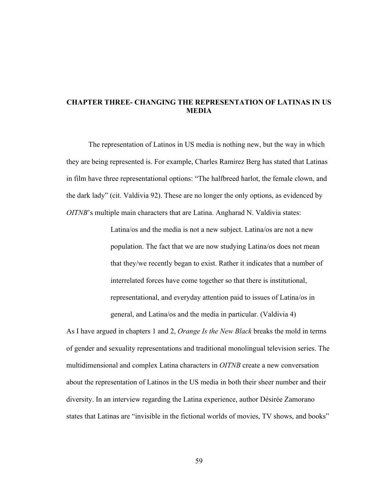# **CHAPTER THREE- CHANGING THE REPRESENTATION OF LATINAS IN US MEDIA**

The representation of Latinos in US media is nothing new, but the way in which they are being represented is. For example, Charles Ramirez Berg has stated that Latinas in film have three representational options: "The halfbreed harlot, the female clown, and the dark lady" (cit. Valdivia 92). These are no longer the only options, as evidenced by *OITNB*'s multiple main characters that are Latina. Angharad N. Valdivia states:

> Latina/os and the media is not a new subject. Latina/os are not a new population. The fact that we are now studying Latina/os does not mean that they/we recently began to exist. Rather it indicates that a number of interrelated forces have come together so that there is institutional, representational, and everyday attention paid to issues of Latina/os in general, and Latina/os and the media in particular. (Valdivia 4)

As I have argued in chapters 1 and 2, *Orange Is the New Black* breaks the mold in terms of gender and sexuality representations and traditional monolingual television series. The multidimensional and complex Latina characters in *OITNB* create a new conversation about the representation of Latinos in the US media in both their sheer number and their diversity. In an interview regarding the Latina experience, author Désirée Zamorano states that Latinas are "invisible in the fictional worlds of movies, TV shows, and books"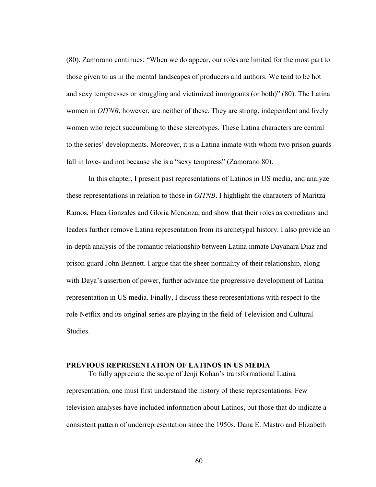(80). Zamorano continues: "When we do appear, our roles are limited for the most part to those given to us in the mental landscapes of producers and authors. We tend to be hot and sexy temptresses or struggling and victimized immigrants (or both)" (80). The Latina women in *OITNB*, however, are neither of these. They are strong, independent and lively women who reject succumbing to these stereotypes. These Latina characters are central to the series' developments. Moreover, it is a Latina inmate with whom two prison guards fall in love- and not because she is a "sexy temptress" (Zamorano 80).

In this chapter, I present past representations of Latinos in US media, and analyze these representations in relation to those in *OITNB*. I highlight the characters of Maritza Ramos, Flaca Gonzales and Gloria Mendoza, and show that their roles as comedians and leaders further remove Latina representation from its archetypal history. I also provide an in-depth analysis of the romantic relationship between Latina inmate Dayanara Diaz and prison guard John Bennett. I argue that the sheer normality of their relationship, along with Daya's assertion of power, further advance the progressive development of Latina representation in US media. Finally, I discuss these representations with respect to the role Netflix and its original series are playing in the field of Television and Cultural Studies.

# **PREVIOUS REPRESENTATION OF LATINOS IN US MEDIA**

To fully appreciate the scope of Jenji Kohan's transformational Latina representation, one must first understand the history of these representations. Few television analyses have included information about Latinos, but those that do indicate a consistent pattern of underrepresentation since the 1950s. Dana E. Mastro and Elizabeth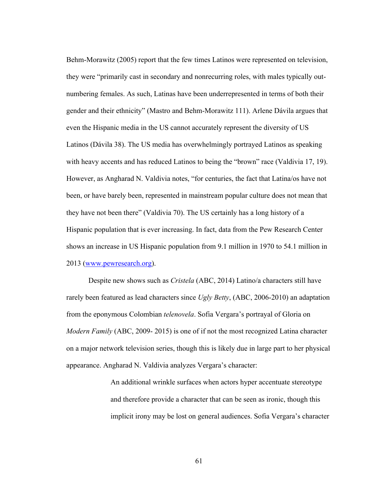Behm-Morawitz (2005) report that the few times Latinos were represented on television, they were "primarily cast in secondary and nonrecurring roles, with males typically outnumbering females. As such, Latinas have been underrepresented in terms of both their gender and their ethnicity" (Mastro and Behm-Morawitz 111). Arlene Dávila argues that even the Hispanic media in the US cannot accurately represent the diversity of US Latinos (Dávila 38). The US media has overwhelmingly portrayed Latinos as speaking with heavy accents and has reduced Latinos to being the "brown" race (Valdivia 17, 19). However, as Angharad N. Valdivia notes, "for centuries, the fact that Latina/os have not been, or have barely been, represented in mainstream popular culture does not mean that they have not been there" (Valdivia 70). The US certainly has a long history of a Hispanic population that is ever increasing. In fact, data from the Pew Research Center shows an increase in US Hispanic population from 9.1 million in 1970 to 54.1 million in 2013 (www.pewresearch.org).

Despite new shows such as *Cristela* (ABC, 2014) Latino/a characters still have rarely been featured as lead characters since *Ugly Betty*, (ABC, 2006-2010) an adaptation from the eponymous Colombian *telenovela*. Sofia Vergara's portrayal of Gloria on *Modern Family* (ABC, 2009- 2015) is one of if not the most recognized Latina character on a major network television series, though this is likely due in large part to her physical appearance. Angharad N. Valdivia analyzes Vergara's character:

> An additional wrinkle surfaces when actors hyper accentuate stereotype and therefore provide a character that can be seen as ironic, though this implicit irony may be lost on general audiences. Sofia Vergara's character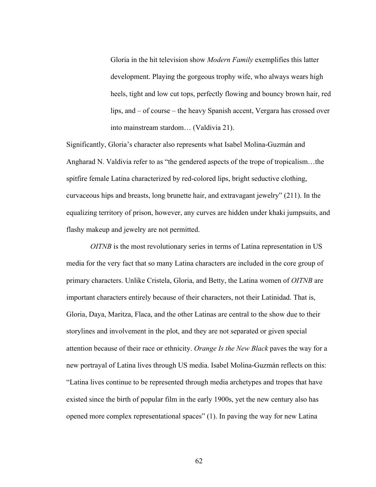Gloria in the hit television show *Modern Family* exemplifies this latter development. Playing the gorgeous trophy wife, who always wears high heels, tight and low cut tops, perfectly flowing and bouncy brown hair, red lips, and – of course – the heavy Spanish accent, Vergara has crossed over into mainstream stardom… (Valdivia 21).

Significantly, Gloria's character also represents what Isabel Molina-Guzmán and Angharad N. Valdivia refer to as "the gendered aspects of the trope of tropicalism…the spitfire female Latina characterized by red-colored lips, bright seductive clothing, curvaceous hips and breasts, long brunette hair, and extravagant jewelry" (211). In the equalizing territory of prison, however, any curves are hidden under khaki jumpsuits, and flashy makeup and jewelry are not permitted.

*OITNB* is the most revolutionary series in terms of Latina representation in US media for the very fact that so many Latina characters are included in the core group of primary characters. Unlike Cristela, Gloria, and Betty, the Latina women of *OITNB* are important characters entirely because of their characters, not their Latinidad. That is, Gloria, Daya, Maritza, Flaca, and the other Latinas are central to the show due to their storylines and involvement in the plot, and they are not separated or given special attention because of their race or ethnicity. *Orange Is the New Black* paves the way for a new portrayal of Latina lives through US media. Isabel Molina-Guzmán reflects on this: "Latina lives continue to be represented through media archetypes and tropes that have existed since the birth of popular film in the early 1900s, yet the new century also has opened more complex representational spaces" (1). In paving the way for new Latina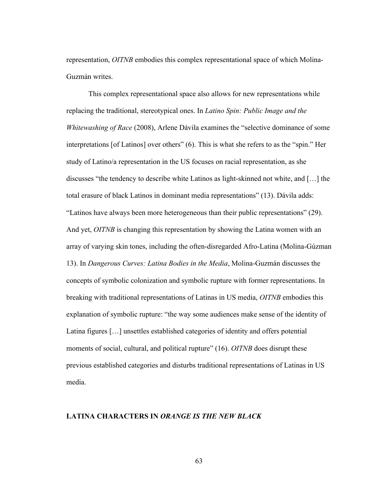representation, *OITNB* embodies this complex representational space of which Molina-Guzmán writes.

This complex representational space also allows for new representations while replacing the traditional, stereotypical ones. In *Latino Spin: Public Image and the Whitewashing of Race* (2008), Arlene Dávila examines the "selective dominance of some interpretations [of Latinos] over others" (6). This is what she refers to as the "spin." Her study of Latino/a representation in the US focuses on racial representation, as she discusses "the tendency to describe white Latinos as light-skinned not white, and […] the total erasure of black Latinos in dominant media representations" (13). Dávila adds: "Latinos have always been more heterogeneous than their public representations" (29). And yet, *OITNB* is changing this representation by showing the Latina women with an array of varying skin tones, including the often-disregarded Afro-Latina (Molina-Gúzman 13). In *Dangerous Curves: Latina Bodies in the Media*, Molina-Guzmán discusses the concepts of symbolic colonization and symbolic rupture with former representations. In breaking with traditional representations of Latinas in US media, *OITNB* embodies this explanation of symbolic rupture: "the way some audiences make sense of the identity of Latina figures […] unsettles established categories of identity and offers potential moments of social, cultural, and political rupture" (16). *OITNB* does disrupt these previous established categories and disturbs traditional representations of Latinas in US media.

# **LATINA CHARACTERS IN** *ORANGE IS THE NEW BLACK*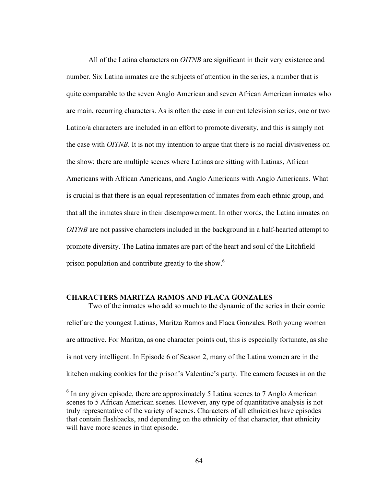All of the Latina characters on *OITNB* are significant in their very existence and number. Six Latina inmates are the subjects of attention in the series, a number that is quite comparable to the seven Anglo American and seven African American inmates who are main, recurring characters. As is often the case in current television series, one or two Latino/a characters are included in an effort to promote diversity, and this is simply not the case with *OITNB*. It is not my intention to argue that there is no racial divisiveness on the show; there are multiple scenes where Latinas are sitting with Latinas, African Americans with African Americans, and Anglo Americans with Anglo Americans. What is crucial is that there is an equal representation of inmates from each ethnic group, and that all the inmates share in their disempowerment. In other words, the Latina inmates on *OITNB* are not passive characters included in the background in a half-hearted attempt to promote diversity. The Latina inmates are part of the heart and soul of the Litchfield prison population and contribute greatly to the show.<sup>6</sup>

# **CHARACTERS MARITZA RAMOS AND FLACA GONZALES**

Two of the inmates who add so much to the dynamic of the series in their comic relief are the youngest Latinas, Maritza Ramos and Flaca Gonzales. Both young women are attractive. For Maritza, as one character points out, this is especially fortunate, as she is not very intelligent. In Episode 6 of Season 2, many of the Latina women are in the kitchen making cookies for the prison's Valentine's party. The camera focuses in on the

<sup>&</sup>lt;sup>6</sup> In any given episode, there are approximately 5 Latina scenes to 7 Anglo American scenes to 5 African American scenes. However, any type of quantitative analysis is not truly representative of the variety of scenes. Characters of all ethnicities have episodes that contain flashbacks, and depending on the ethnicity of that character, that ethnicity will have more scenes in that episode.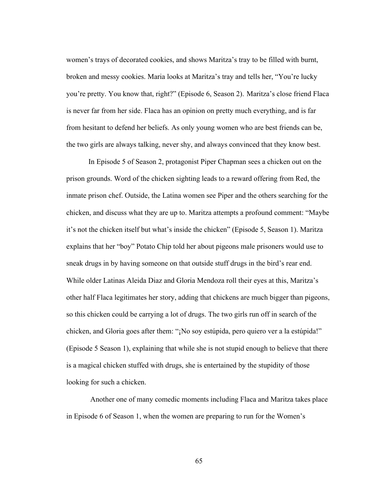women's trays of decorated cookies, and shows Maritza's tray to be filled with burnt, broken and messy cookies. Maria looks at Maritza's tray and tells her, "You're lucky you're pretty. You know that, right?" (Episode 6, Season 2). Maritza's close friend Flaca is never far from her side. Flaca has an opinion on pretty much everything, and is far from hesitant to defend her beliefs. As only young women who are best friends can be, the two girls are always talking, never shy, and always convinced that they know best.

In Episode 5 of Season 2, protagonist Piper Chapman sees a chicken out on the prison grounds. Word of the chicken sighting leads to a reward offering from Red, the inmate prison chef. Outside, the Latina women see Piper and the others searching for the chicken, and discuss what they are up to. Maritza attempts a profound comment: "Maybe it's not the chicken itself but what's inside the chicken" (Episode 5, Season 1). Maritza explains that her "boy" Potato Chip told her about pigeons male prisoners would use to sneak drugs in by having someone on that outside stuff drugs in the bird's rear end. While older Latinas Aleida Diaz and Gloria Mendoza roll their eyes at this, Maritza's other half Flaca legitimates her story, adding that chickens are much bigger than pigeons, so this chicken could be carrying a lot of drugs. The two girls run off in search of the chicken, and Gloria goes after them: "¡No soy estúpida, pero quiero ver a la estúpida!" (Episode 5 Season 1), explaining that while she is not stupid enough to believe that there is a magical chicken stuffed with drugs, she is entertained by the stupidity of those looking for such a chicken.

 Another one of many comedic moments including Flaca and Maritza takes place in Episode 6 of Season 1, when the women are preparing to run for the Women's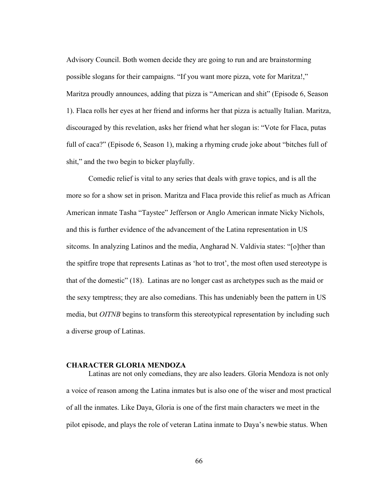Advisory Council. Both women decide they are going to run and are brainstorming possible slogans for their campaigns. "If you want more pizza, vote for Maritza!," Maritza proudly announces, adding that pizza is "American and shit" (Episode 6, Season 1). Flaca rolls her eyes at her friend and informs her that pizza is actually Italian. Maritza, discouraged by this revelation, asks her friend what her slogan is: "Vote for Flaca, putas full of caca?" (Episode 6, Season 1), making a rhyming crude joke about "bitches full of shit," and the two begin to bicker playfully.

Comedic relief is vital to any series that deals with grave topics, and is all the more so for a show set in prison. Maritza and Flaca provide this relief as much as African American inmate Tasha "Taystee" Jefferson or Anglo American inmate Nicky Nichols, and this is further evidence of the advancement of the Latina representation in US sitcoms. In analyzing Latinos and the media, Angharad N. Valdivia states: "[o]ther than the spitfire trope that represents Latinas as 'hot to trot', the most often used stereotype is that of the domestic" (18). Latinas are no longer cast as archetypes such as the maid or the sexy temptress; they are also comedians. This has undeniably been the pattern in US media, but *OITNB* begins to transform this stereotypical representation by including such a diverse group of Latinas.

# **CHARACTER GLORIA MENDOZA**

Latinas are not only comedians, they are also leaders. Gloria Mendoza is not only a voice of reason among the Latina inmates but is also one of the wiser and most practical of all the inmates. Like Daya, Gloria is one of the first main characters we meet in the pilot episode, and plays the role of veteran Latina inmate to Daya's newbie status. When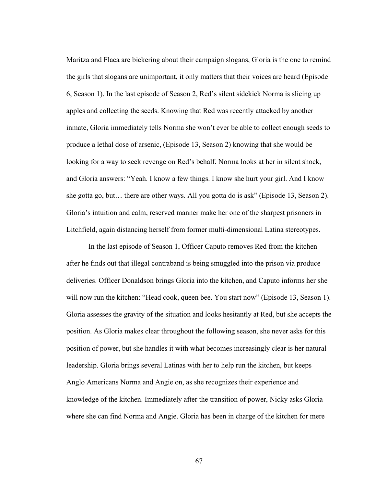Maritza and Flaca are bickering about their campaign slogans, Gloria is the one to remind the girls that slogans are unimportant, it only matters that their voices are heard (Episode 6, Season 1). In the last episode of Season 2, Red's silent sidekick Norma is slicing up apples and collecting the seeds. Knowing that Red was recently attacked by another inmate, Gloria immediately tells Norma she won't ever be able to collect enough seeds to produce a lethal dose of arsenic, (Episode 13, Season 2) knowing that she would be looking for a way to seek revenge on Red's behalf. Norma looks at her in silent shock, and Gloria answers: "Yeah. I know a few things. I know she hurt your girl. And I know she gotta go, but… there are other ways. All you gotta do is ask" (Episode 13, Season 2). Gloria's intuition and calm, reserved manner make her one of the sharpest prisoners in Litchfield, again distancing herself from former multi-dimensional Latina stereotypes.

In the last episode of Season 1, Officer Caputo removes Red from the kitchen after he finds out that illegal contraband is being smuggled into the prison via produce deliveries. Officer Donaldson brings Gloria into the kitchen, and Caputo informs her she will now run the kitchen: "Head cook, queen bee. You start now" (Episode 13, Season 1). Gloria assesses the gravity of the situation and looks hesitantly at Red, but she accepts the position. As Gloria makes clear throughout the following season, she never asks for this position of power, but she handles it with what becomes increasingly clear is her natural leadership. Gloria brings several Latinas with her to help run the kitchen, but keeps Anglo Americans Norma and Angie on, as she recognizes their experience and knowledge of the kitchen. Immediately after the transition of power, Nicky asks Gloria where she can find Norma and Angie. Gloria has been in charge of the kitchen for mere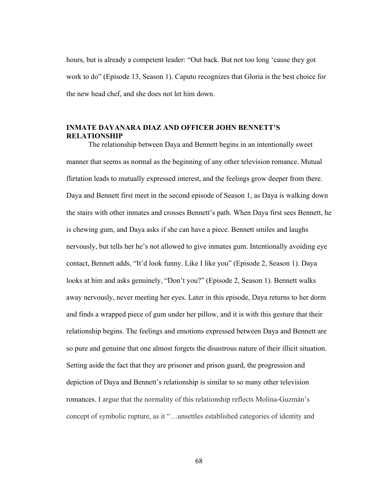hours, but is already a competent leader: "Out back. But not too long 'cause they got work to do" (Episode 13, Season 1). Caputo recognizes that Gloria is the best choice for the new head chef, and she does not let him down.

## **INMATE DAYANARA DIAZ AND OFFICER JOHN BENNETT'S RELATIONSHIP**

The relationship between Daya and Bennett begins in an intentionally sweet manner that seems as normal as the beginning of any other television romance. Mutual flirtation leads to mutually expressed interest, and the feelings grow deeper from there. Daya and Bennett first meet in the second episode of Season 1, as Daya is walking down the stairs with other inmates and crosses Bennett's path. When Daya first sees Bennett, he is chewing gum, and Daya asks if she can have a piece. Bennett smiles and laughs nervously, but tells her he's not allowed to give inmates gum. Intentionally avoiding eye contact, Bennett adds, "It'd look funny. Like I like you" (Episode 2, Season 1). Daya looks at him and asks genuinely, "Don't you?" (Episode 2, Season 1). Bennett walks away nervously, never meeting her eyes. Later in this episode, Daya returns to her dorm and finds a wrapped piece of gum under her pillow, and it is with this gesture that their relationship begins. The feelings and emotions expressed between Daya and Bennett are so pure and genuine that one almost forgets the disastrous nature of their illicit situation. Setting aside the fact that they are prisoner and prison guard, the progression and depiction of Daya and Bennett's relationship is similar to so many other television romances. I argue that the normality of this relationship reflects Molina-Guzmán's concept of symbolic rupture, as it "…unsettles established categories of identity and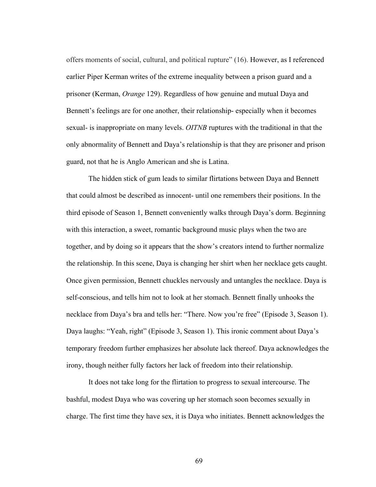offers moments of social, cultural, and political rupture" (16). However, as I referenced earlier Piper Kerman writes of the extreme inequality between a prison guard and a prisoner (Kerman, *Orange* 129). Regardless of how genuine and mutual Daya and Bennett's feelings are for one another, their relationship- especially when it becomes sexual- is inappropriate on many levels. *OITNB* ruptures with the traditional in that the only abnormality of Bennett and Daya's relationship is that they are prisoner and prison guard, not that he is Anglo American and she is Latina.

The hidden stick of gum leads to similar flirtations between Daya and Bennett that could almost be described as innocent- until one remembers their positions. In the third episode of Season 1, Bennett conveniently walks through Daya's dorm. Beginning with this interaction, a sweet, romantic background music plays when the two are together, and by doing so it appears that the show's creators intend to further normalize the relationship. In this scene, Daya is changing her shirt when her necklace gets caught. Once given permission, Bennett chuckles nervously and untangles the necklace. Daya is self-conscious, and tells him not to look at her stomach. Bennett finally unhooks the necklace from Daya's bra and tells her: "There. Now you're free" (Episode 3, Season 1). Daya laughs: "Yeah, right" (Episode 3, Season 1). This ironic comment about Daya's temporary freedom further emphasizes her absolute lack thereof. Daya acknowledges the irony, though neither fully factors her lack of freedom into their relationship.

It does not take long for the flirtation to progress to sexual intercourse. The bashful, modest Daya who was covering up her stomach soon becomes sexually in charge. The first time they have sex, it is Daya who initiates. Bennett acknowledges the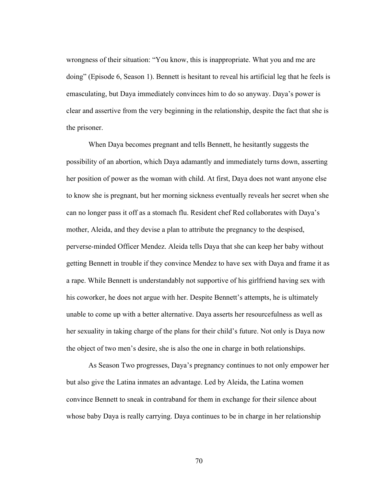wrongness of their situation: "You know, this is inappropriate. What you and me are doing" (Episode 6, Season 1). Bennett is hesitant to reveal his artificial leg that he feels is emasculating, but Daya immediately convinces him to do so anyway. Daya's power is clear and assertive from the very beginning in the relationship, despite the fact that she is the prisoner.

When Daya becomes pregnant and tells Bennett, he hesitantly suggests the possibility of an abortion, which Daya adamantly and immediately turns down, asserting her position of power as the woman with child. At first, Daya does not want anyone else to know she is pregnant, but her morning sickness eventually reveals her secret when she can no longer pass it off as a stomach flu. Resident chef Red collaborates with Daya's mother, Aleida, and they devise a plan to attribute the pregnancy to the despised, perverse-minded Officer Mendez. Aleida tells Daya that she can keep her baby without getting Bennett in trouble if they convince Mendez to have sex with Daya and frame it as a rape. While Bennett is understandably not supportive of his girlfriend having sex with his coworker, he does not argue with her. Despite Bennett's attempts, he is ultimately unable to come up with a better alternative. Daya asserts her resourcefulness as well as her sexuality in taking charge of the plans for their child's future. Not only is Daya now the object of two men's desire, she is also the one in charge in both relationships.

As Season Two progresses, Daya's pregnancy continues to not only empower her but also give the Latina inmates an advantage. Led by Aleida, the Latina women convince Bennett to sneak in contraband for them in exchange for their silence about whose baby Daya is really carrying. Daya continues to be in charge in her relationship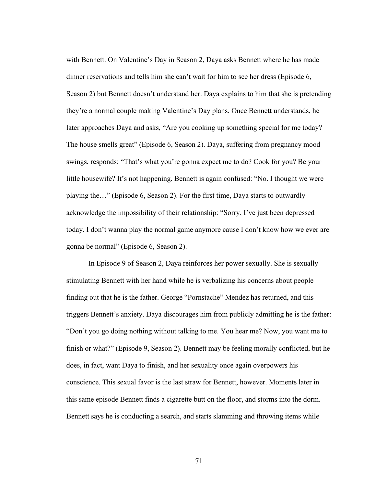with Bennett. On Valentine's Day in Season 2, Daya asks Bennett where he has made dinner reservations and tells him she can't wait for him to see her dress (Episode 6, Season 2) but Bennett doesn't understand her. Daya explains to him that she is pretending they're a normal couple making Valentine's Day plans. Once Bennett understands, he later approaches Daya and asks, "Are you cooking up something special for me today? The house smells great" (Episode 6, Season 2). Daya, suffering from pregnancy mood swings, responds: "That's what you're gonna expect me to do? Cook for you? Be your little housewife? It's not happening. Bennett is again confused: "No. I thought we were playing the…" (Episode 6, Season 2). For the first time, Daya starts to outwardly acknowledge the impossibility of their relationship: "Sorry, I've just been depressed today. I don't wanna play the normal game anymore cause I don't know how we ever are gonna be normal" (Episode 6, Season 2).

In Episode 9 of Season 2, Daya reinforces her power sexually. She is sexually stimulating Bennett with her hand while he is verbalizing his concerns about people finding out that he is the father. George "Pornstache" Mendez has returned, and this triggers Bennett's anxiety. Daya discourages him from publicly admitting he is the father: "Don't you go doing nothing without talking to me. You hear me? Now, you want me to finish or what?" (Episode 9, Season 2). Bennett may be feeling morally conflicted, but he does, in fact, want Daya to finish, and her sexuality once again overpowers his conscience. This sexual favor is the last straw for Bennett, however. Moments later in this same episode Bennett finds a cigarette butt on the floor, and storms into the dorm. Bennett says he is conducting a search, and starts slamming and throwing items while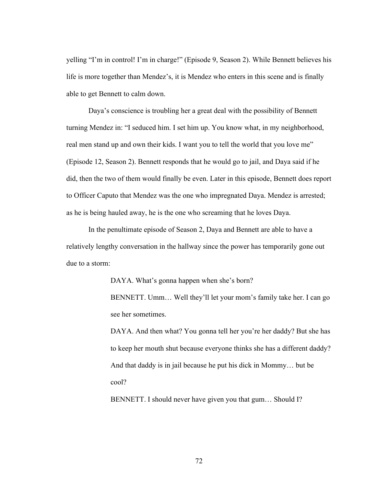yelling "I'm in control! I'm in charge!" (Episode 9, Season 2). While Bennett believes his life is more together than Mendez's, it is Mendez who enters in this scene and is finally able to get Bennett to calm down.

Daya's conscience is troubling her a great deal with the possibility of Bennett turning Mendez in: "I seduced him. I set him up. You know what, in my neighborhood, real men stand up and own their kids. I want you to tell the world that you love me" (Episode 12, Season 2). Bennett responds that he would go to jail, and Daya said if he did, then the two of them would finally be even. Later in this episode, Bennett does report to Officer Caputo that Mendez was the one who impregnated Daya. Mendez is arrested; as he is being hauled away, he is the one who screaming that he loves Daya.

In the penultimate episode of Season 2, Daya and Bennett are able to have a relatively lengthy conversation in the hallway since the power has temporarily gone out due to a storm:

DAYA. What's gonna happen when she's born?

BENNETT. Umm… Well they'll let your mom's family take her. I can go see her sometimes.

DAYA. And then what? You gonna tell her you're her daddy? But she has to keep her mouth shut because everyone thinks she has a different daddy? And that daddy is in jail because he put his dick in Mommy… but be cool?

BENNETT. I should never have given you that gum… Should I?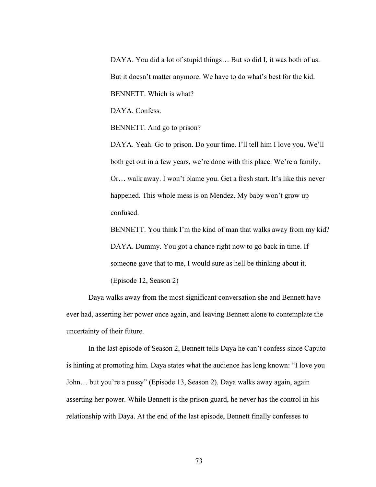DAYA. You did a lot of stupid things... But so did I, it was both of us. But it doesn't matter anymore. We have to do what's best for the kid. BENNETT. Which is what?

DAYA. Confess.

BENNETT. And go to prison?

DAYA. Yeah. Go to prison. Do your time. I'll tell him I love you. We'll both get out in a few years, we're done with this place. We're a family. Or… walk away. I won't blame you. Get a fresh start. It's like this never happened. This whole mess is on Mendez. My baby won't grow up confused.

BENNETT. You think I'm the kind of man that walks away from my kid? DAYA. Dummy. You got a chance right now to go back in time. If someone gave that to me, I would sure as hell be thinking about it.

(Episode 12, Season 2)

Daya walks away from the most significant conversation she and Bennett have ever had, asserting her power once again, and leaving Bennett alone to contemplate the uncertainty of their future.

In the last episode of Season 2, Bennett tells Daya he can't confess since Caputo is hinting at promoting him. Daya states what the audience has long known: "I love you John… but you're a pussy" (Episode 13, Season 2). Daya walks away again, again asserting her power. While Bennett is the prison guard, he never has the control in his relationship with Daya. At the end of the last episode, Bennett finally confesses to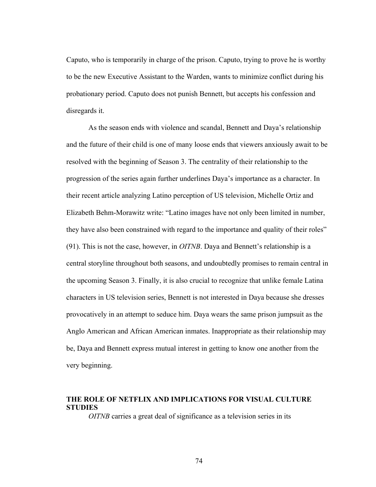Caputo, who is temporarily in charge of the prison. Caputo, trying to prove he is worthy to be the new Executive Assistant to the Warden, wants to minimize conflict during his probationary period. Caputo does not punish Bennett, but accepts his confession and disregards it.

As the season ends with violence and scandal, Bennett and Daya's relationship and the future of their child is one of many loose ends that viewers anxiously await to be resolved with the beginning of Season 3. The centrality of their relationship to the progression of the series again further underlines Daya's importance as a character. In their recent article analyzing Latino perception of US television, Michelle Ortiz and Elizabeth Behm-Morawitz write: "Latino images have not only been limited in number, they have also been constrained with regard to the importance and quality of their roles" (91). This is not the case, however, in *OITNB*. Daya and Bennett's relationship is a central storyline throughout both seasons, and undoubtedly promises to remain central in the upcoming Season 3. Finally, it is also crucial to recognize that unlike female Latina characters in US television series, Bennett is not interested in Daya because she dresses provocatively in an attempt to seduce him. Daya wears the same prison jumpsuit as the Anglo American and African American inmates. Inappropriate as their relationship may be, Daya and Bennett express mutual interest in getting to know one another from the very beginning.

# **THE ROLE OF NETFLIX AND IMPLICATIONS FOR VISUAL CULTURE STUDIES**

*OITNB* carries a great deal of significance as a television series in its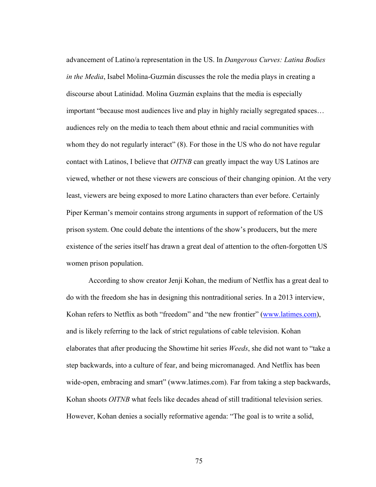advancement of Latino/a representation in the US. In *Dangerous Curves: Latina Bodies in the Media*, Isabel Molina-Guzmán discusses the role the media plays in creating a discourse about Latinidad. Molina Guzmán explains that the media is especially important "because most audiences live and play in highly racially segregated spaces… audiences rely on the media to teach them about ethnic and racial communities with whom they do not regularly interact" (8). For those in the US who do not have regular contact with Latinos, I believe that *OITNB* can greatly impact the way US Latinos are viewed, whether or not these viewers are conscious of their changing opinion. At the very least, viewers are being exposed to more Latino characters than ever before. Certainly Piper Kerman's memoir contains strong arguments in support of reformation of the US prison system. One could debate the intentions of the show's producers, but the mere existence of the series itself has drawn a great deal of attention to the often-forgotten US women prison population.

According to show creator Jenji Kohan, the medium of Netflix has a great deal to do with the freedom she has in designing this nontraditional series. In a 2013 interview, Kohan refers to Netflix as both "freedom" and "the new frontier" (www.latimes.com), and is likely referring to the lack of strict regulations of cable television. Kohan elaborates that after producing the Showtime hit series *Weeds*, she did not want to "take a step backwards, into a culture of fear, and being micromanaged. And Netflix has been wide-open, embracing and smart" (www.latimes.com). Far from taking a step backwards, Kohan shoots *OITNB* what feels like decades ahead of still traditional television series. However, Kohan denies a socially reformative agenda: "The goal is to write a solid,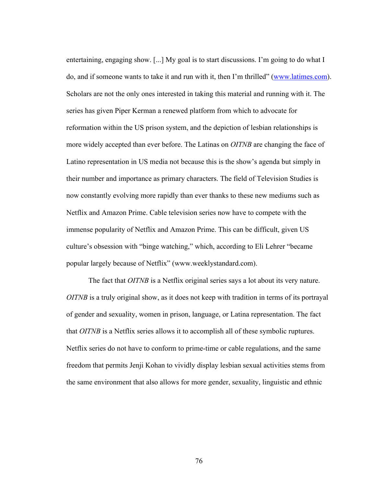entertaining, engaging show. [...] My goal is to start discussions. I'm going to do what I do, and if someone wants to take it and run with it, then I'm thrilled" (www.latimes.com). Scholars are not the only ones interested in taking this material and running with it. The series has given Piper Kerman a renewed platform from which to advocate for reformation within the US prison system, and the depiction of lesbian relationships is more widely accepted than ever before. The Latinas on *OITNB* are changing the face of Latino representation in US media not because this is the show's agenda but simply in their number and importance as primary characters. The field of Television Studies is now constantly evolving more rapidly than ever thanks to these new mediums such as Netflix and Amazon Prime. Cable television series now have to compete with the immense popularity of Netflix and Amazon Prime. This can be difficult, given US culture's obsession with "binge watching," which, according to Eli Lehrer "became popular largely because of Netflix" (www.weeklystandard.com).

The fact that *OITNB* is a Netflix original series says a lot about its very nature. *OITNB* is a truly original show, as it does not keep with tradition in terms of its portrayal of gender and sexuality, women in prison, language, or Latina representation. The fact that *OITNB* is a Netflix series allows it to accomplish all of these symbolic ruptures. Netflix series do not have to conform to prime-time or cable regulations, and the same freedom that permits Jenji Kohan to vividly display lesbian sexual activities stems from the same environment that also allows for more gender, sexuality, linguistic and ethnic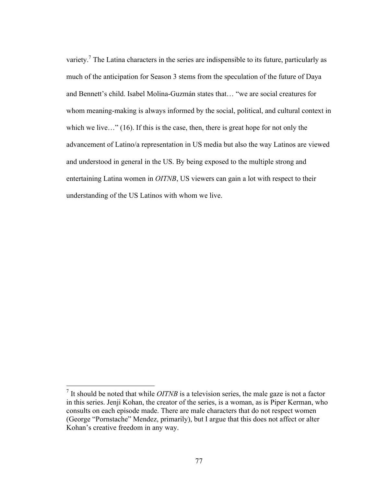variety.<sup>7</sup> The Latina characters in the series are indispensible to its future, particularly as much of the anticipation for Season 3 stems from the speculation of the future of Daya and Bennett's child. Isabel Molina-Guzmán states that… "we are social creatures for whom meaning-making is always informed by the social, political, and cultural context in which we live…" (16). If this is the case, then, there is great hope for not only the advancement of Latino/a representation in US media but also the way Latinos are viewed and understood in general in the US. By being exposed to the multiple strong and entertaining Latina women in *OITNB*, US viewers can gain a lot with respect to their understanding of the US Latinos with whom we live.

<sup>&</sup>lt;sup>7</sup> It should be noted that while *OITNB* is a television series, the male gaze is not a factor in this series. Jenji Kohan, the creator of the series, is a woman, as is Piper Kerman, who consults on each episode made. There are male characters that do not respect women (George "Pornstache" Mendez, primarily), but I argue that this does not affect or alter Kohan's creative freedom in any way.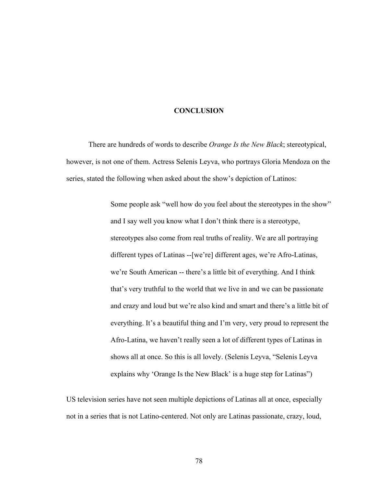#### **CONCLUSION**

There are hundreds of words to describe *Orange Is the New Black*; stereotypical, however, is not one of them. Actress Selenis Leyva, who portrays Gloria Mendoza on the series, stated the following when asked about the show's depiction of Latinos:

> Some people ask "well how do you feel about the stereotypes in the show" and I say well you know what I don't think there is a stereotype, stereotypes also come from real truths of reality. We are all portraying different types of Latinas --[we're] different ages, we're Afro-Latinas, we're South American -- there's a little bit of everything. And I think that's very truthful to the world that we live in and we can be passionate and crazy and loud but we're also kind and smart and there's a little bit of everything. It's a beautiful thing and I'm very, very proud to represent the Afro-Latina, we haven't really seen a lot of different types of Latinas in shows all at once. So this is all lovely. (Selenis Leyva, "Selenis Leyva explains why 'Orange Is the New Black' is a huge step for Latinas")

US television series have not seen multiple depictions of Latinas all at once, especially not in a series that is not Latino-centered. Not only are Latinas passionate, crazy, loud,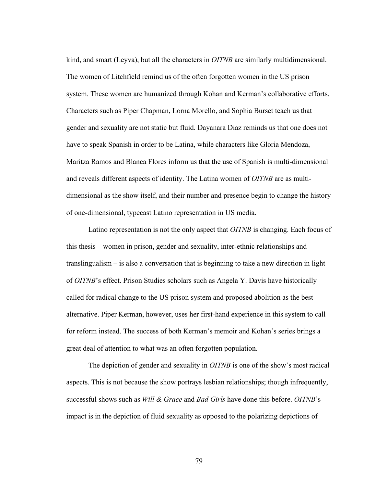kind, and smart (Leyva), but all the characters in *OITNB* are similarly multidimensional. The women of Litchfield remind us of the often forgotten women in the US prison system. These women are humanized through Kohan and Kerman's collaborative efforts. Characters such as Piper Chapman, Lorna Morello, and Sophia Burset teach us that gender and sexuality are not static but fluid. Dayanara Diaz reminds us that one does not have to speak Spanish in order to be Latina, while characters like Gloria Mendoza, Maritza Ramos and Blanca Flores inform us that the use of Spanish is multi-dimensional and reveals different aspects of identity. The Latina women of *OITNB* are as multidimensional as the show itself, and their number and presence begin to change the history of one-dimensional, typecast Latino representation in US media.

Latino representation is not the only aspect that *OITNB* is changing. Each focus of this thesis – women in prison, gender and sexuality, inter-ethnic relationships and translingualism – is also a conversation that is beginning to take a new direction in light of *OITNB*'s effect. Prison Studies scholars such as Angela Y. Davis have historically called for radical change to the US prison system and proposed abolition as the best alternative. Piper Kerman, however, uses her first-hand experience in this system to call for reform instead. The success of both Kerman's memoir and Kohan's series brings a great deal of attention to what was an often forgotten population.

The depiction of gender and sexuality in *OITNB* is one of the show's most radical aspects. This is not because the show portrays lesbian relationships; though infrequently, successful shows such as *Will & Grace* and *Bad Girls* have done this before. *OITNB*'s impact is in the depiction of fluid sexuality as opposed to the polarizing depictions of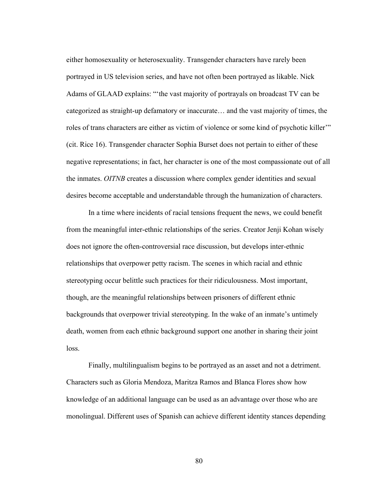either homosexuality or heterosexuality. Transgender characters have rarely been portrayed in US television series, and have not often been portrayed as likable. Nick Adams of GLAAD explains: "'the vast majority of portrayals on broadcast TV can be categorized as straight-up defamatory or inaccurate… and the vast majority of times, the roles of trans characters are either as victim of violence or some kind of psychotic killer'" (cit. Rice 16). Transgender character Sophia Burset does not pertain to either of these negative representations; in fact, her character is one of the most compassionate out of all the inmates. *OITNB* creates a discussion where complex gender identities and sexual desires become acceptable and understandable through the humanization of characters.

In a time where incidents of racial tensions frequent the news, we could benefit from the meaningful inter-ethnic relationships of the series. Creator Jenji Kohan wisely does not ignore the often-controversial race discussion, but develops inter-ethnic relationships that overpower petty racism. The scenes in which racial and ethnic stereotyping occur belittle such practices for their ridiculousness. Most important, though, are the meaningful relationships between prisoners of different ethnic backgrounds that overpower trivial stereotyping. In the wake of an inmate's untimely death, women from each ethnic background support one another in sharing their joint loss.

Finally, multilingualism begins to be portrayed as an asset and not a detriment. Characters such as Gloria Mendoza, Maritza Ramos and Blanca Flores show how knowledge of an additional language can be used as an advantage over those who are monolingual. Different uses of Spanish can achieve different identity stances depending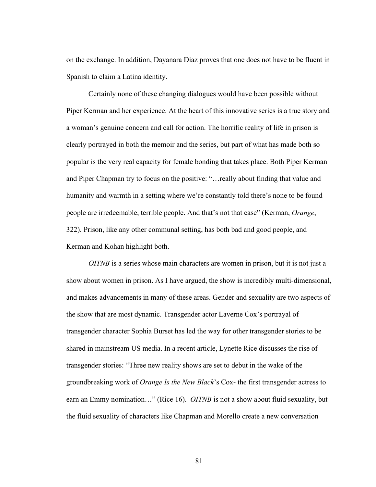on the exchange. In addition, Dayanara Diaz proves that one does not have to be fluent in Spanish to claim a Latina identity.

Certainly none of these changing dialogues would have been possible without Piper Kerman and her experience. At the heart of this innovative series is a true story and a woman's genuine concern and call for action. The horrific reality of life in prison is clearly portrayed in both the memoir and the series, but part of what has made both so popular is the very real capacity for female bonding that takes place. Both Piper Kerman and Piper Chapman try to focus on the positive: "…really about finding that value and humanity and warmth in a setting where we're constantly told there's none to be found – people are irredeemable, terrible people. And that's not that case" (Kerman, *Orange*, 322). Prison, like any other communal setting, has both bad and good people, and Kerman and Kohan highlight both.

*OITNB* is a series whose main characters are women in prison, but it is not just a show about women in prison. As I have argued, the show is incredibly multi-dimensional, and makes advancements in many of these areas. Gender and sexuality are two aspects of the show that are most dynamic. Transgender actor Laverne Cox's portrayal of transgender character Sophia Burset has led the way for other transgender stories to be shared in mainstream US media. In a recent article, Lynette Rice discusses the rise of transgender stories: "Three new reality shows are set to debut in the wake of the groundbreaking work of *Orange Is the New Black*'s Cox- the first transgender actress to earn an Emmy nomination…" (Rice 16). *OITNB* is not a show about fluid sexuality, but the fluid sexuality of characters like Chapman and Morello create a new conversation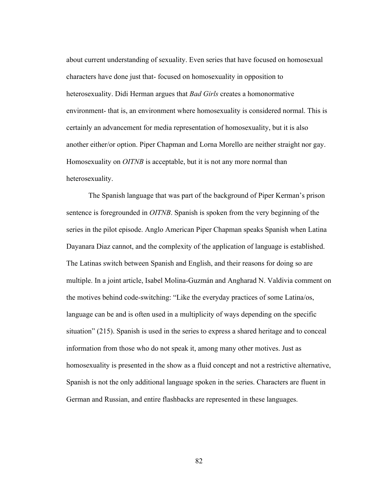about current understanding of sexuality. Even series that have focused on homosexual characters have done just that- focused on homosexuality in opposition to heterosexuality. Didi Herman argues that *Bad Girls* creates a homonormative environment- that is, an environment where homosexuality is considered normal. This is certainly an advancement for media representation of homosexuality, but it is also another either/or option. Piper Chapman and Lorna Morello are neither straight nor gay. Homosexuality on *OITNB* is acceptable, but it is not any more normal than heterosexuality.

The Spanish language that was part of the background of Piper Kerman's prison sentence is foregrounded in *OITNB*. Spanish is spoken from the very beginning of the series in the pilot episode. Anglo American Piper Chapman speaks Spanish when Latina Dayanara Diaz cannot, and the complexity of the application of language is established. The Latinas switch between Spanish and English, and their reasons for doing so are multiple. In a joint article, Isabel Molina-Guzmán and Angharad N. Valdivia comment on the motives behind code-switching: "Like the everyday practices of some Latina/os, language can be and is often used in a multiplicity of ways depending on the specific situation" (215). Spanish is used in the series to express a shared heritage and to conceal information from those who do not speak it, among many other motives. Just as homosexuality is presented in the show as a fluid concept and not a restrictive alternative, Spanish is not the only additional language spoken in the series. Characters are fluent in German and Russian, and entire flashbacks are represented in these languages.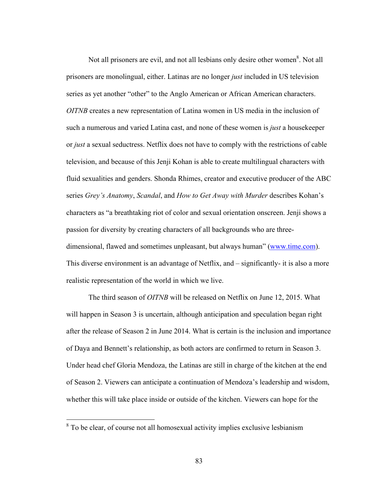Not all prisoners are evil, and not all lesbians only desire other women $^8$ . Not all prisoners are monolingual, either. Latinas are no longer *just* included in US television series as yet another "other" to the Anglo American or African American characters. *OITNB* creates a new representation of Latina women in US media in the inclusion of such a numerous and varied Latina cast, and none of these women is *just* a housekeeper or *just* a sexual seductress. Netflix does not have to comply with the restrictions of cable television, and because of this Jenji Kohan is able to create multilingual characters with fluid sexualities and genders. Shonda Rhimes, creator and executive producer of the ABC series *Grey's Anatomy*, *Scandal*, and *How to Get Away with Murder* describes Kohan's characters as "a breathtaking riot of color and sexual orientation onscreen. Jenji shows a passion for diversity by creating characters of all backgrounds who are threedimensional, flawed and sometimes unpleasant, but always human" (www.time.com). This diverse environment is an advantage of Netflix, and – significantly- it is also a more realistic representation of the world in which we live.

The third season of *OITNB* will be released on Netflix on June 12, 2015. What will happen in Season 3 is uncertain, although anticipation and speculation began right after the release of Season 2 in June 2014. What is certain is the inclusion and importance of Daya and Bennett's relationship, as both actors are confirmed to return in Season 3. Under head chef Gloria Mendoza, the Latinas are still in charge of the kitchen at the end of Season 2. Viewers can anticipate a continuation of Mendoza's leadership and wisdom, whether this will take place inside or outside of the kitchen. Viewers can hope for the

<sup>&</sup>lt;sup>8</sup> To be clear, of course not all homosexual activity implies exclusive lesbianism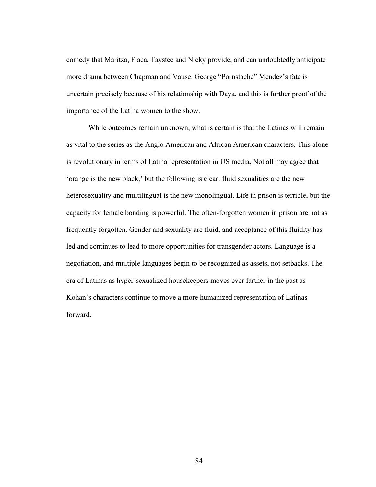comedy that Maritza, Flaca, Taystee and Nicky provide, and can undoubtedly anticipate more drama between Chapman and Vause. George "Pornstache" Mendez's fate is uncertain precisely because of his relationship with Daya, and this is further proof of the importance of the Latina women to the show.

While outcomes remain unknown, what is certain is that the Latinas will remain as vital to the series as the Anglo American and African American characters. This alone is revolutionary in terms of Latina representation in US media. Not all may agree that 'orange is the new black,' but the following is clear: fluid sexualities are the new heterosexuality and multilingual is the new monolingual. Life in prison is terrible, but the capacity for female bonding is powerful. The often-forgotten women in prison are not as frequently forgotten. Gender and sexuality are fluid, and acceptance of this fluidity has led and continues to lead to more opportunities for transgender actors. Language is a negotiation, and multiple languages begin to be recognized as assets, not setbacks. The era of Latinas as hyper-sexualized housekeepers moves ever farther in the past as Kohan's characters continue to move a more humanized representation of Latinas forward.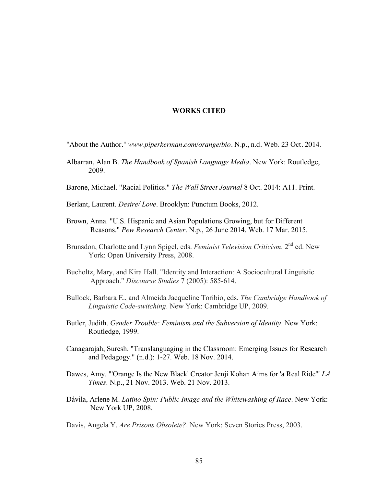#### **WORKS CITED**

"About the Author." *www.piperkerman.com/orange/bio*. N.p., n.d. Web. 23 Oct. 2014.

- Albarran, Alan B. *The Handbook of Spanish Language Media*. New York: Routledge, 2009.
- Barone, Michael. "Racial Politics." *The Wall Street Journal* 8 Oct. 2014: A11. Print.
- Berlant, Laurent. *Desire/ Love*. Brooklyn: Punctum Books, 2012.
- Brown, Anna. "U.S. Hispanic and Asian Populations Growing, but for Different Reasons." *Pew Research Center*. N.p., 26 June 2014. Web. 17 Mar. 2015.
- Brunsdon, Charlotte and Lynn Spigel, eds. *Feminist Television Criticism*. 2<sup>nd</sup> ed. New York: Open University Press, 2008.
- Bucholtz, Mary, and Kira Hall. "Identity and Interaction: A Sociocultural Linguistic Approach." *Discourse Studies* 7 (2005): 585-614.
- Bullock, Barbara E., and Almeida Jacqueline Toribio, eds. *The Cambridge Handbook of Linguistic Code-switching*. New York: Cambridge UP, 2009.
- Butler, Judith. *Gender Trouble: Feminism and the Subversion of Identity*. New York: Routledge, 1999.
- Canagarajah, Suresh. "Translanguaging in the Classroom: Emerging Issues for Research and Pedagogy." (n.d.): 1-27. Web. 18 Nov. 2014.
- Dawes, Amy. "'Orange Is the New Black' Creator Jenji Kohan Aims for 'a Real Ride'" *LA Times*. N.p., 21 Nov. 2013. Web. 21 Nov. 2013.
- Dávila, Arlene M. *Latino Spin: Public Image and the Whitewashing of Race*. New York: New York UP, 2008.

Davis, Angela Y. *Are Prisons Obsolete?*. New York: Seven Stories Press, 2003.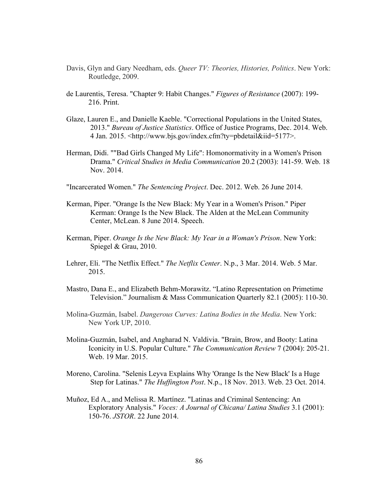- Davis, Glyn and Gary Needham, eds. *Queer TV: Theories, Histories, Politics*. New York: Routledge, 2009.
- de Laurentis, Teresa. "Chapter 9: Habit Changes." *Figures of Resistance* (2007): 199- 216. Print.
- Glaze, Lauren E., and Danielle Kaeble. "Correctional Populations in the United States, 2013." *Bureau of Justice Statistics*. Office of Justice Programs, Dec. 2014. Web. 4 Jan. 2015. <http://www.bjs.gov/index.cfm?ty=pbdetail&iid=5177>.
- Herman, Didi. ""Bad Girls Changed My Life": Homonormativity in a Women's Prison Drama." *Critical Studies in Media Communication* 20.2 (2003): 141-59. Web. 18 Nov. 2014.
- "Incarcerated Women." *The Sentencing Project*. Dec. 2012. Web. 26 June 2014.
- Kerman, Piper. "Orange Is the New Black: My Year in a Women's Prison." Piper Kerman: Orange Is the New Black. The Alden at the McLean Community Center, McLean. 8 June 2014. Speech.
- Kerman, Piper. *Orange Is the New Black: My Year in a Woman's Prison*. New York: Spiegel & Grau, 2010.
- Lehrer, Eli. "The Netflix Effect." *The Netflix Center*. N.p., 3 Mar. 2014. Web. 5 Mar. 2015.
- Mastro, Dana E., and Elizabeth Behm-Morawitz. "Latino Representation on Primetime Television." Journalism & Mass Communication Quarterly 82.1 (2005): 110-30.
- Molina-Guzmán, Isabel. *Dangerous Curves: Latina Bodies in the Media*. New York: New York UP, 2010.
- Molina-Guzmán, Isabel, and Angharad N. Valdivia. "Brain, Brow, and Booty: Latina Iconicity in U.S. Popular Culture." *The Communication Review* 7 (2004): 205-21. Web. 19 Mar. 2015.
- Moreno, Carolina. "Selenis Leyva Explains Why 'Orange Is the New Black' Is a Huge Step for Latinas." *The Huffington Post*. N.p., 18 Nov. 2013. Web. 23 Oct. 2014.
- Muñoz, Ed A., and Melissa R. Martínez. "Latinas and Criminal Sentencing: An Exploratory Analysis." *Voces: A Journal of Chicana/ Latina Studies* 3.1 (2001): 150-76. *JSTOR*. 22 June 2014.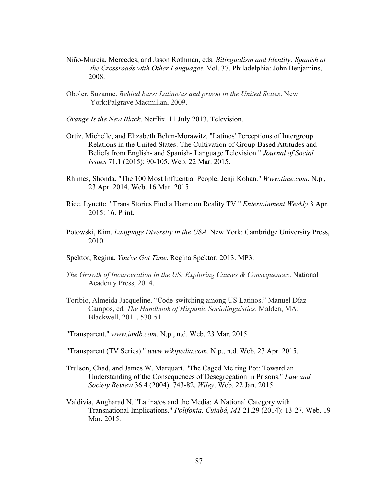- Niño-Murcia, Mercedes, and Jason Rothman, eds. *Bilingualism and Identity: Spanish at the Crossroads with Other Languages*. Vol. 37. Philadelphia: John Benjamins, 2008.
- Oboler, Suzanne. *Behind bars: Latino/as and prison in the United States*. New York:Palgrave Macmillan, 2009.
- *Orange Is the New Black*. Netflix. 11 July 2013. Television.
- Ortiz, Michelle, and Elizabeth Behm-Morawitz. "Latinos' Perceptions of Intergroup Relations in the United States: The Cultivation of Group-Based Attitudes and Beliefs from English- and Spanish- Language Television." *Journal of Social Issues* 71.1 (2015): 90-105. Web. 22 Mar. 2015.
- Rhimes, Shonda. "The 100 Most Influential People: Jenji Kohan." *Www.time.com*. N.p., 23 Apr. 2014. Web. 16 Mar. 2015
- Rice, Lynette. "Trans Stories Find a Home on Reality TV." *Entertainment Weekly* 3 Apr. 2015: 16. Print.
- Potowski, Kim. *Language Diversity in the USA*. New York: Cambridge University Press, 2010.
- Spektor, Regina. *You've Got Time*. Regina Spektor. 2013. MP3.
- *The Growth of Incarceration in the US: Exploring Causes & Consequences*. National Academy Press, 2014.
- Toribio, Almeida Jacqueline. "Code-switching among US Latinos." Manuel Díaz-Campos, ed. *The Handbook of Hispanic Sociolinguistics*. Malden, MA: Blackwell, 2011. 530-51.
- "Transparent." *www.imdb.com*. N.p., n.d. Web. 23 Mar. 2015.
- "Transparent (TV Series)." *www.wikipedia.com*. N.p., n.d. Web. 23 Apr. 2015.
- Trulson, Chad, and James W. Marquart. "The Caged Melting Pot: Toward an Understanding of the Consequences of Desegregation in Prisons." *Law and Society Review* 36.4 (2004): 743-82. *Wiley*. Web. 22 Jan. 2015.
- Valdivia, Angharad N. "Latina/os and the Media: A National Category with Transnational Implications." *Polifonia, Cuiabá, MT* 21.29 (2014): 13-27. Web. 19 Mar. 2015.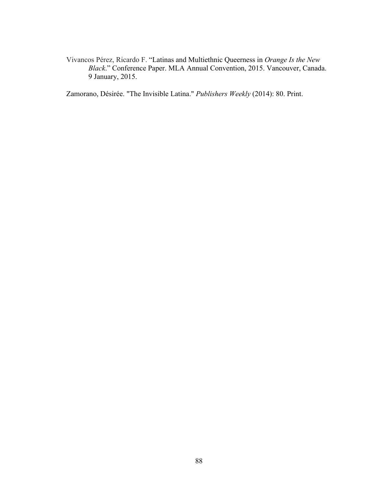Vivancos Pérez, Ricardo F. "Latinas and Multiethnic Queerness in *Orange Is the New Black*." Conference Paper. MLA Annual Convention, 2015. Vancouver, Canada. 9 January, 2015.

Zamorano, Désirée. "The Invisible Latina." *Publishers Weekly* (2014): 80. Print.